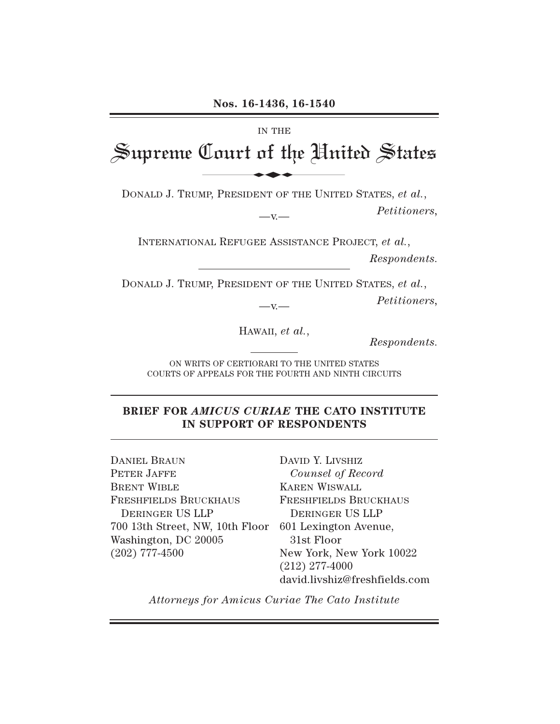#### IN THE

Supreme Court of the United States Nos. 16-1436, 16-1540

DONALD J. TRUMP, PRESIDENT OF THE UNITED STATES, *et al.*,

—v.— *Petitioners,*

INTERNATIONAL REFUGEE ASSISTANCE PROJECT, *et al.*,

*Respondents.*

DONALD J. TRUMP, PRESIDENT OF THE UNITED STATES, *et al.*,

—v.— *Petitioners,*

HAWAII, *et al.*,

*Respondents.*

ON WRITS OF CERTIORARI TO THE UNITED STATES COURTS OF APPEALS FOR THE FOURTH AND NINTH CIRCUITS

### **BRIEF FOR** *AMICUS CURIAE* **THE CATO INSTITUTE IN SUPPORT OF RESPONDENTS**

601 Lexington Avenue, 700 13th Street, NW, 10th Floor DANIEL BRAUN PETER JAFFE BRENT WIBLE FRESHFIELDS BRUCKHAUS DERINGER US LLP Washington, DC 20005 (202) 777-4500

DAVID Y. LIVSHIZ *Counsel of Record* KAREN WISWALL FRESHFIELDS BRUCKHAUS DERINGER US LLP 31st Floor New York, New York 10022 (212) 277-4000 david.livshiz@freshfields.com

*Attorneys for Amicus Curiae The Cato Institute*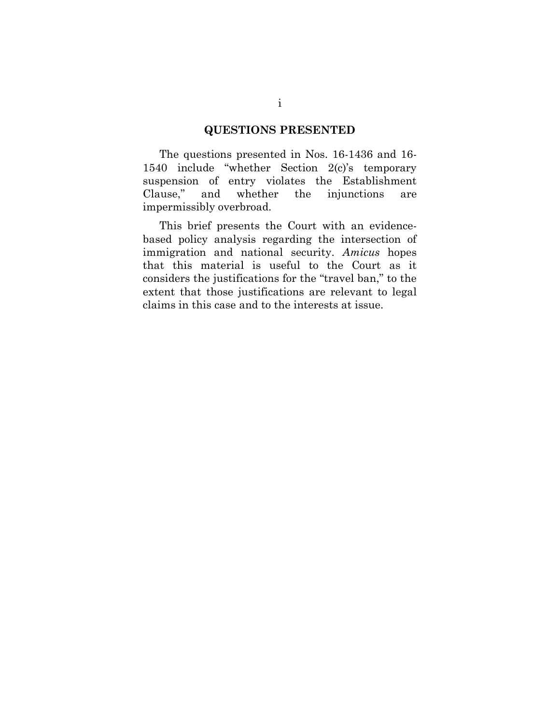### **QUESTIONS PRESENTED**

The questions presented in Nos. 16-1436 and 16- 1540 include "whether Section 2(c)'s temporary suspension of entry violates the Establishment Clause," and whether the injunctions are impermissibly overbroad.

This brief presents the Court with an evidencebased policy analysis regarding the intersection of immigration and national security. *Amicus* hopes that this material is useful to the Court as it considers the justifications for the "travel ban," to the extent that those justifications are relevant to legal claims in this case and to the interests at issue.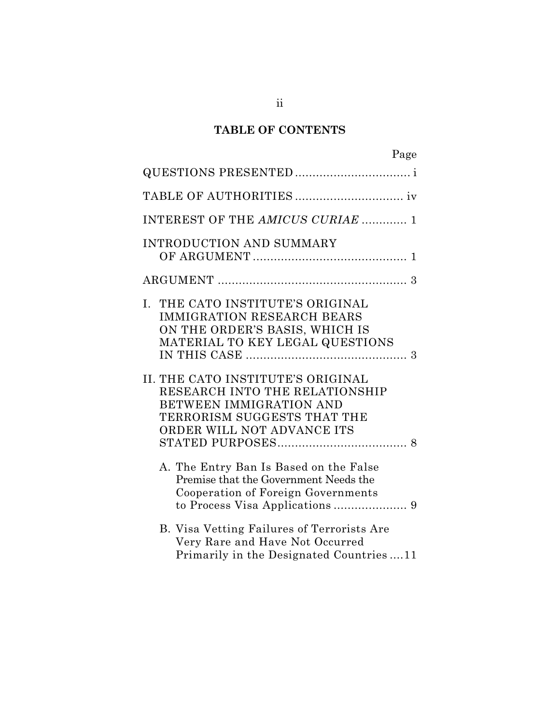## **TABLE OF CONTENTS**

| Page                                                                                                                                                        |
|-------------------------------------------------------------------------------------------------------------------------------------------------------------|
|                                                                                                                                                             |
|                                                                                                                                                             |
| INTEREST OF THE AMICUS CURIAE  1                                                                                                                            |
| INTRODUCTION AND SUMMARY                                                                                                                                    |
|                                                                                                                                                             |
| THE CATO INSTITUTE'S ORIGINAL<br>$\mathbf{L}$<br><b>IMMIGRATION RESEARCH BEARS</b><br>ON THE ORDER'S BASIS, WHICH IS<br>MATERIAL TO KEY LEGAL QUESTIONS     |
| II. THE CATO INSTITUTE'S ORIGINAL<br>RESEARCH INTO THE RELATIONSHIP<br>BETWEEN IMMIGRATION AND<br>TERRORISM SUGGESTS THAT THE<br>ORDER WILL NOT ADVANCE ITS |
| A. The Entry Ban Is Based on the False<br>Premise that the Government Needs the<br>Cooperation of Foreign Governments                                       |
| B. Visa Vetting Failures of Terrorists Are<br>Very Rare and Have Not Occurred<br>Primarily in the Designated Countries 11                                   |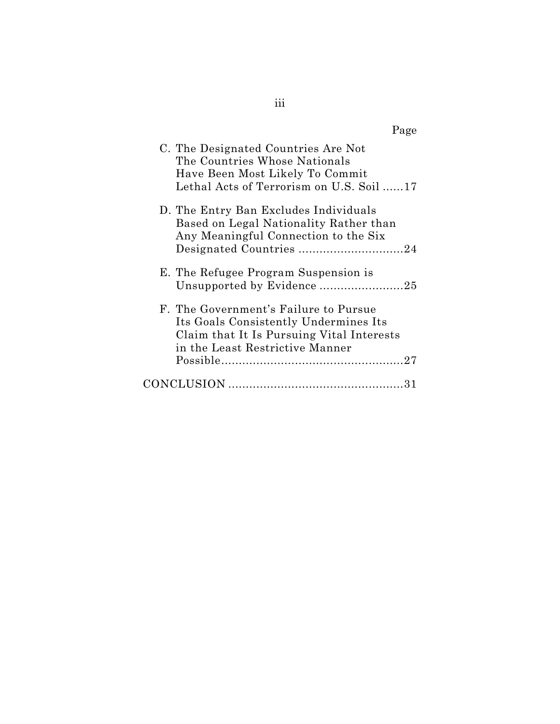| Page                                                                                                                                                           |
|----------------------------------------------------------------------------------------------------------------------------------------------------------------|
| C. The Designated Countries Are Not<br>The Countries Whose Nationals<br>Have Been Most Likely To Commit<br>Lethal Acts of Terrorism on U.S. Soil 17            |
| D. The Entry Ban Excludes Individuals<br>Based on Legal Nationality Rather than<br>Any Meaningful Connection to the Six                                        |
| E. The Refugee Program Suspension is<br>Unsupported by Evidence 25                                                                                             |
| F. The Government's Failure to Pursue<br>Its Goals Consistently Undermines Its<br>Claim that It Is Pursuing Vital Interests<br>in the Least Restrictive Manner |
| 31                                                                                                                                                             |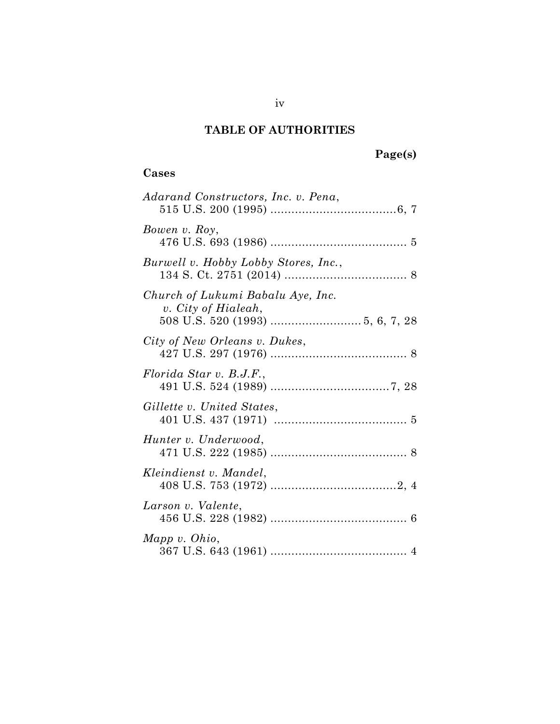## **TABLE OF AUTHORITIES**

## **Page(s)**

### **Cases**

| Adarand Constructors, Inc. v. Pena,                      |
|----------------------------------------------------------|
| Bowen v. Roy,                                            |
| Burwell v. Hobby Lobby Stores, Inc.,                     |
| Church of Lukumi Babalu Aye, Inc.<br>v. City of Hialeah, |
| City of New Orleans v. Dukes,                            |
| Florida Star v. B.J.F.,                                  |
| Gillette v. United States,                               |
| Hunter v. Underwood,                                     |
| Kleindienst v. Mandel,                                   |
| Larson v. Valente,                                       |
| Mapp $v$ . Ohio,                                         |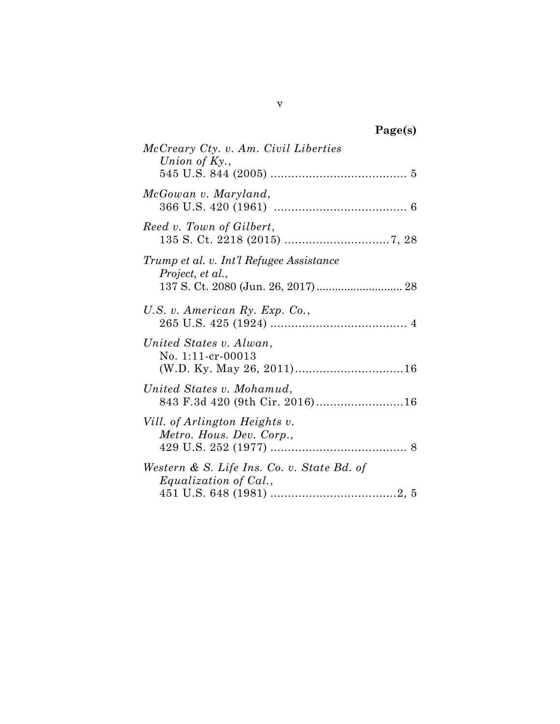|  | YОН<br>α |  |
|--|----------|--|
|  |          |  |

| McCreary Cty. v. Am. Civil Liberties<br>Union of $Ky.$ ,            |
|---------------------------------------------------------------------|
| McGowan v. Maryland,                                                |
| Reed v. Town of Gilbert,                                            |
| Trump et al. v. Int'l Refugee Assistance<br>Project, et al.,        |
| U.S. v. American Ry. Exp. Co.,                                      |
| United States v. Alwan,<br>No. 1:11-cr-00013                        |
| United States v. Mohamud,<br>843 F.3d 420 (9th Cir. 2016)16         |
| Vill. of Arlington Heights v.<br>Metro. Hous. Dev. Corp.,           |
| Western & S. Life Ins. Co. v. State Bd. of<br>Equalization of Cal., |

v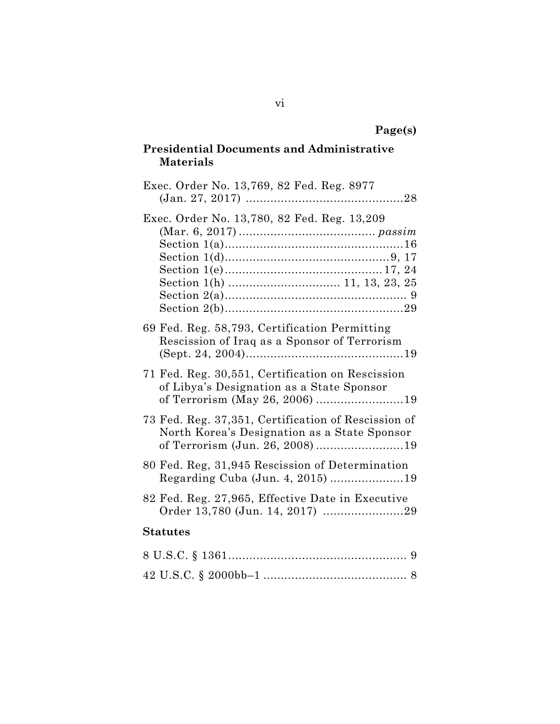### **Presidential Documents and Administrative Materials**

| Exec. Order No. 13,769, 82 Fed. Reg. 8977                                                                                             |
|---------------------------------------------------------------------------------------------------------------------------------------|
| Exec. Order No. 13,780, 82 Fed. Reg. 13,209                                                                                           |
| 69 Fed. Reg. 58,793, Certification Permitting<br>Rescission of Iraq as a Sponsor of Terrorism                                         |
| 71 Fed. Reg. 30,551, Certification on Rescission<br>of Libya's Designation as a State Sponsor<br>of Terrorism (May 26, 2006) 19       |
| 73 Fed. Reg. 37,351, Certification of Rescission of<br>North Korea's Designation as a State Sponsor<br>of Terrorism (Jun. 26, 2008)19 |
| 80 Fed. Reg, 31,945 Rescission of Determination<br>Regarding Cuba (Jun. 4, 2015) 19                                                   |
| 82 Fed. Reg. 27,965, Effective Date in Executive<br>Order 13,780 (Jun. 14, 2017) 29                                                   |
| <b>Statutes</b>                                                                                                                       |
|                                                                                                                                       |
|                                                                                                                                       |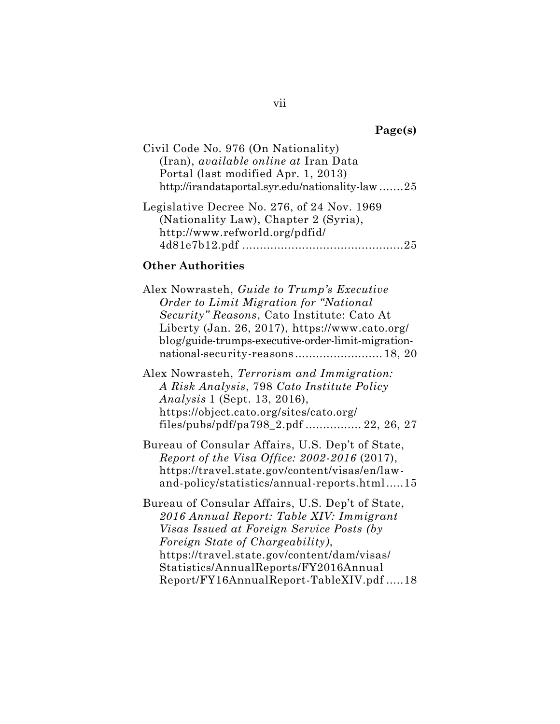| Civil Code No. 976 (On Nationality)             |  |
|-------------------------------------------------|--|
| (Iran), <i>available online at</i> Iran Data    |  |
| Portal (last modified Apr. 1, 2013)             |  |
| http://irandataportal.syr.edu/nationality-law25 |  |
|                                                 |  |

| Legislative Decree No. 276, of 24 Nov. 1969 |  |
|---------------------------------------------|--|
| (Nationality Law), Chapter 2 (Syria),       |  |
| http://www.refworld.org/pdfid/              |  |
|                                             |  |

### **Other Authorities**

| Alex Nowrasteh, Guide to Trump's Executive                                                                                                                                                                                                                            |  |
|-----------------------------------------------------------------------------------------------------------------------------------------------------------------------------------------------------------------------------------------------------------------------|--|
| Order to Limit Migration for "National"<br>Security" Reasons, Cato Institute: Cato At<br>Liberty (Jan. 26, 2017), https://www.cato.org/<br>blog/guide-trumps-executive-order-limit-migration-<br>national-security-reasons 18, 20                                     |  |
| Alex Nowrasteh, Terrorism and Immigration:<br>A Risk Analysis, 798 Cato Institute Policy<br><i>Analysis</i> 1 (Sept. 13, 2016),<br>https://object.cato.org/sites/cato.org/<br>files/pubs/pdf/pa798_2.pdf  22, 26, 27                                                  |  |
| Bureau of Consular Affairs, U.S. Dep't of State,<br>Report of the Visa Office: 2002-2016 (2017),<br>https://travel.state.gov/content/visas/en/law-<br>and-policy/statistics/annual-reports.html15                                                                     |  |
| Bureau of Consular Affairs, U.S. Dep't of State,<br>2016 Annual Report: Table XIV: Immigrant<br>Visas Issued at Foreign Service Posts (by<br>Foreign State of Chargeability),<br>https://travel.state.gov/content/dam/visas/<br>Statistics/AnnualReports/FY2016Annual |  |

[Report/FY16AnnualReport-TableXIV.pdf](https://travel.state.gov/content/dam/visas/Statistics/AnnualReports/FY2016AnnualReport/FY16AnnualReport-TableXIV.pdf) .....18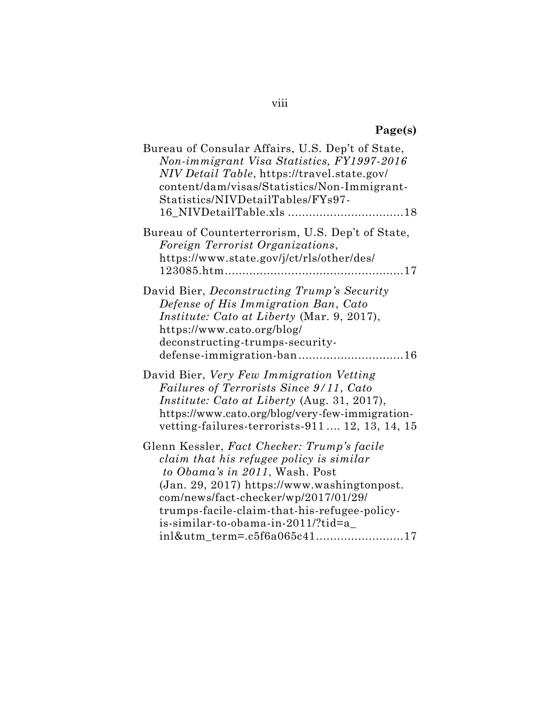| Bureau of Consular Affairs, U.S. Dep't of State,<br>Non-immigrant Visa Statistics, FY1997-2016<br>NIV Detail Table, https://travel.state.gov/<br>content/dam/visas/Statistics/Non-Immigrant-<br>Statistics/NIVDetailTables/FYs97-                                                                                                     |
|---------------------------------------------------------------------------------------------------------------------------------------------------------------------------------------------------------------------------------------------------------------------------------------------------------------------------------------|
| Bureau of Counterterrorism, U.S. Dep't of State,<br>Foreign Terrorist Organizations,<br>https://www.state.gov/j/ct/rls/other/des/                                                                                                                                                                                                     |
| David Bier, Deconstructing Trump's Security<br>Defense of His Immigration Ban, Cato<br><i>Institute: Cato at Liberty (Mar. 9, 2017),</i><br>https://www.cato.org/blog/<br>deconstructing-trumps-security-<br>defense-immigration-ban16                                                                                                |
| David Bier, Very Few Immigration Vetting<br>Failures of Terrorists Since 9/11, Cato<br><i>Institute: Cato at Liberty (Aug. 31, 2017),</i><br>https://www.cato.org/blog/very-few-immigration-<br>vetting-failures-terrorists-911 12, 13, 14, 15                                                                                        |
| Glenn Kessler, Fact Checker: Trump's facile<br>claim that his refugee policy is similar<br>to Obama's in 2011, Wash. Post<br>(Jan. 29, 2017) https://www.washingtonpost.<br>com/news/fact-checker/wp/2017/01/29/<br>trumps-facile-claim-that-his-refugee-policy-<br>is-similar-to-obama-in-2011/?tid=a<br>inl&utm_term=.c5f6a065c4117 |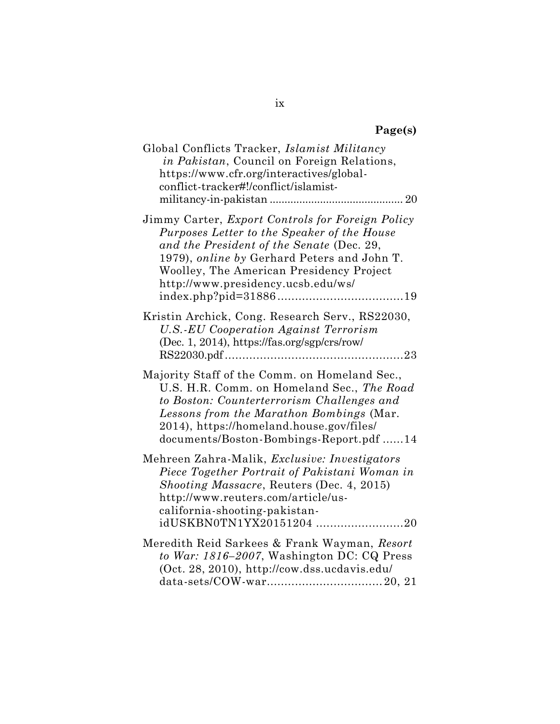| Global Conflicts Tracker, Islamist Militancy<br>in Pakistan, Council on Foreign Relations,<br>https://www.cfr.org/interactives/global-<br>conflict-tracker#!/conflict/islamist-<br>20                                                                                         |
|-------------------------------------------------------------------------------------------------------------------------------------------------------------------------------------------------------------------------------------------------------------------------------|
| Jimmy Carter, Export Controls for Foreign Policy<br>Purposes Letter to the Speaker of the House<br>and the President of the Senate (Dec. 29,<br>1979), online by Gerhard Peters and John T.<br>Woolley, The American Presidency Project<br>http://www.presidency.ucsb.edu/ws/ |
| Kristin Archick, Cong. Research Serv., RS22030,<br>U.S.-EU Cooperation Against Terrorism<br>(Dec. 1, 2014), https://fas.org/sgp/crs/row/<br>23                                                                                                                                |
| Majority Staff of the Comm. on Homeland Sec.,<br>U.S. H.R. Comm. on Homeland Sec., The Road<br>to Boston: Counterterrorism Challenges and<br>Lessons from the Marathon Bombings (Mar.<br>2014), https://homeland.house.gov/files/<br>documents/Boston-Bombings-Report.pdf 14  |
| Mehreen Zahra-Malik, Exclusive: Investigators<br>Piece Together Portrait of Pakistani Woman in<br>Shooting Massacre, Reuters (Dec. 4, 2015)<br>http://www.reuters.com/article/us-<br>california-shooting-pakistan-<br>idUSKBN0TN1YX20151204 20                                |
| Meredith Reid Sarkees & Frank Wayman, Resort<br>to War: 1816-2007, Washington DC: CQ Press<br>(Oct. 28, 2010), http://cow.dss.ucdavis.edu/                                                                                                                                    |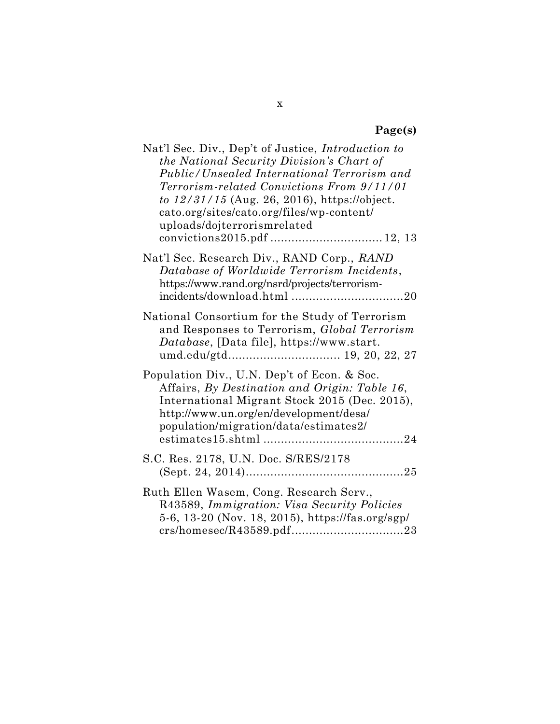| Nat'l Sec. Div., Dep't of Justice, <i>Introduction to</i><br>the National Security Division's Chart of<br>Public/Unsealed International Terrorism and<br>Terrorism-related Convictions From 9/11/01<br>to $12/31/15$ (Aug. 26, 2016), https://object.<br>cato.org/sites/cato.org/files/wp-content/<br>uploads/dojterrorismrelated |
|-----------------------------------------------------------------------------------------------------------------------------------------------------------------------------------------------------------------------------------------------------------------------------------------------------------------------------------|
| Nat'l Sec. Research Div., RAND Corp., RAND<br>Database of Worldwide Terrorism Incidents,<br>https://www.rand.org/nsrd/projects/terrorism-                                                                                                                                                                                         |
| National Consortium for the Study of Terrorism<br>and Responses to Terrorism, Global Terrorism<br>Database, [Data file], https://www.start.                                                                                                                                                                                       |
| Population Div., U.N. Dep't of Econ. & Soc.<br>Affairs, By Destination and Origin: Table 16,<br>International Migrant Stock 2015 (Dec. 2015),<br>http://www.un.org/en/development/desa/<br>population/migration/data/estimates2/                                                                                                  |
| S.C. Res. 2178, U.N. Doc. S/RES/2178                                                                                                                                                                                                                                                                                              |
| Ruth Ellen Wasem, Cong. Research Serv.,<br>R43589, Immigration: Visa Security Policies<br>5-6, 13-20 (Nov. 18, 2015), https://fas.org/sgp/                                                                                                                                                                                        |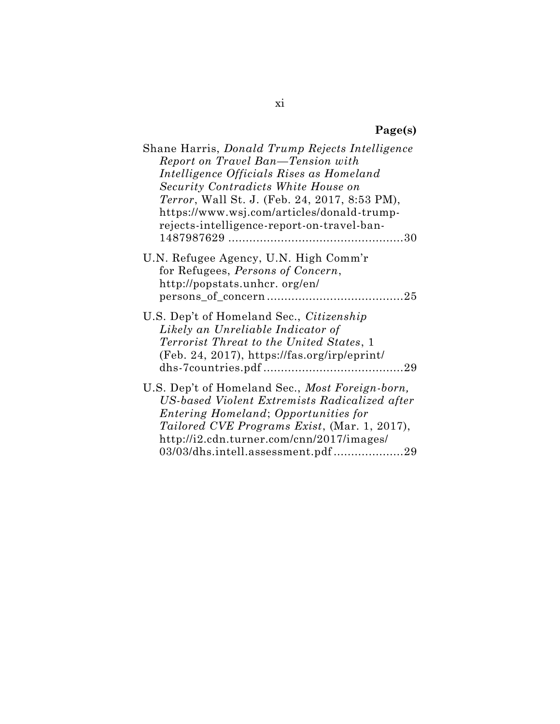| Shane Harris, Donald Trump Rejects Intelligence<br>Report on Travel Ban-Tension with<br>Intelligence Officials Rises as Homeland<br>Security Contradicts White House on<br><i>Terror</i> , Wall St. J. (Feb. 24, 2017, 8:53 PM),<br>https://www.wsj.com/articles/donald-trump-<br>rejects-intelligence-report-on-travel-ban- |
|------------------------------------------------------------------------------------------------------------------------------------------------------------------------------------------------------------------------------------------------------------------------------------------------------------------------------|
| U.N. Refugee Agency, U.N. High Comm'r<br>for Refugees, Persons of Concern,<br>http://popstats.unhcr.org/en/                                                                                                                                                                                                                  |
| U.S. Dep't of Homeland Sec., Citizenship<br>Likely an Unreliable Indicator of<br>Terrorist Threat to the United States, 1<br>(Feb. 24, 2017), https://fas.org/irp/eprint/                                                                                                                                                    |
| U.S. Dep't of Homeland Sec., Most Foreign-born,<br>US-based Violent Extremists Radicalized after<br><i>Entering Homeland; Opportunities for</i><br>Tailored CVE Programs Exist, (Mar. 1, 2017),<br>http://i2.cdn.turner.com/cnn/2017/images/<br>03/03/dhs.intell.assessment.pdf29                                            |

xi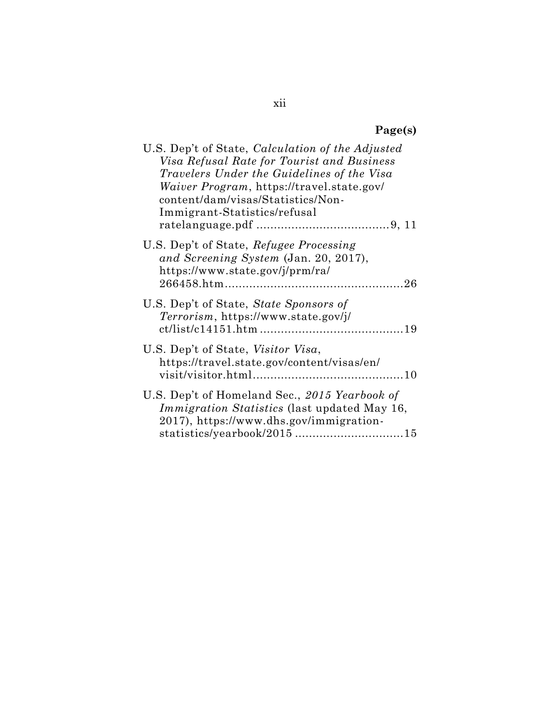| U.S. Dep't of State, <i>Calculation</i> of the Adjusted<br>Visa Refusal Rate for Tourist and Business<br>Travelers Under the Guidelines of the Visa<br>Waiver Program, https://travel.state.gov/<br>content/dam/visas/Statistics/Non-<br>Immigrant-Statistics/refusal |
|-----------------------------------------------------------------------------------------------------------------------------------------------------------------------------------------------------------------------------------------------------------------------|
| U.S. Dep't of State, Refugee Processing<br>and Screening System (Jan. 20, 2017),<br>https://www.state.gov/j/prm/ra/                                                                                                                                                   |
| U.S. Dep't of State, State Sponsors of<br>Terrorism, https://www.state.gov/j/                                                                                                                                                                                         |
| U.S. Dep't of State, <i>Visitor Visa</i> ,<br>https://travel.state.gov/content/visas/en/                                                                                                                                                                              |
| U.S. Dep't of Homeland Sec., 2015 Yearbook of<br><i>Immigration Statistics</i> (last updated May 16,<br>2017), https://www.dhs.gov/immigration-<br>statistics/yearbook/2015 15                                                                                        |

xii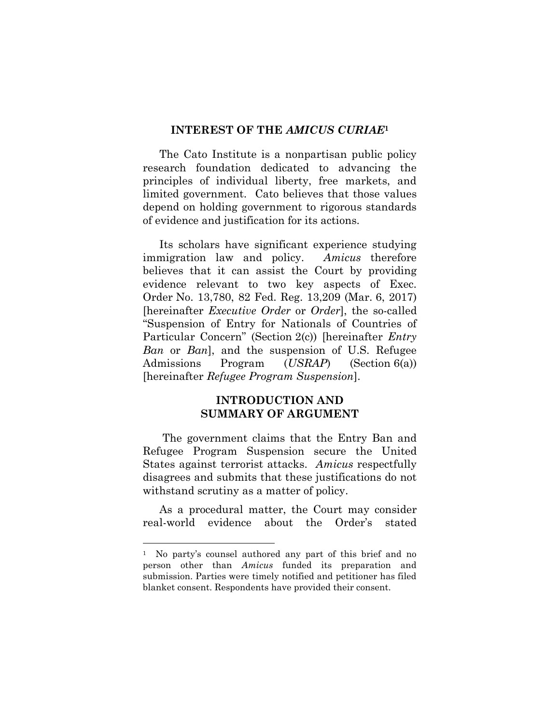#### **INTEREST OF THE** *AMICUS CURIAE***<sup>1</sup>**

The Cato Institute is a nonpartisan public policy research foundation dedicated to advancing the principles of individual liberty, free markets, and limited government. Cato believes that those values depend on holding government to rigorous standards of evidence and justification for its actions.

Its scholars have significant experience studying immigration law and policy. *Amicus* therefore believes that it can assist the Court by providing evidence relevant to two key aspects of Exec. Order No. 13,780, 82 Fed. Reg. 13,209 (Mar. 6, 2017) [hereinafter *Executive Order* or *Order*], the so-called "Suspension of Entry for Nationals of Countries of Particular Concern" (Section 2(c)) [hereinafter *Entry Ban* or *Ban*], and the suspension of U.S. Refugee Admissions Program (*USRAP*) (Section 6(a)) [hereinafter *Refugee Program Suspension*].

#### **INTRODUCTION AND SUMMARY OF ARGUMENT**

The government claims that the Entry Ban and Refugee Program Suspension secure the United States against terrorist attacks. *Amicus* respectfully disagrees and submits that these justifications do not withstand scrutiny as a matter of policy.

As a procedural matter, the Court may consider real-world evidence about the Order's stated

 $\overline{a}$ 

<sup>1</sup> No party's counsel authored any part of this brief and no person other than *Amicus* funded its preparation and submission. Parties were timely notified and petitioner has filed blanket consent. Respondents have provided their consent.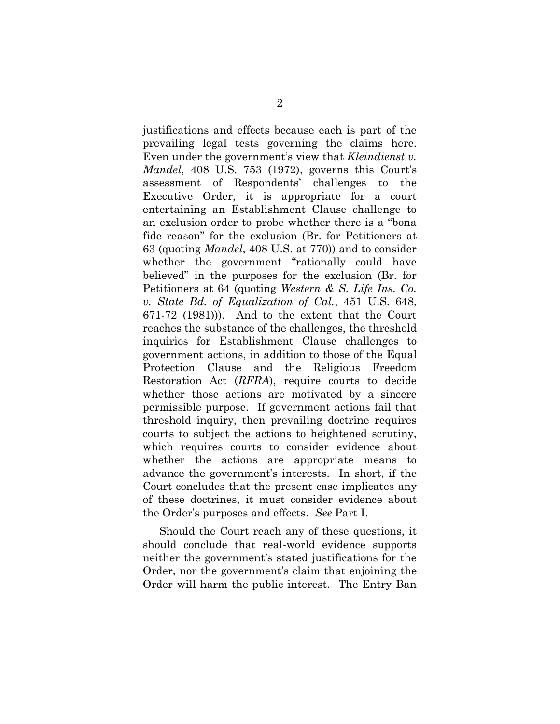justifications and effects because each is part of the prevailing legal tests governing the claims here. Even under the government's view that *Kleindienst v. Mandel*, 408 U.S. 753 (1972), governs this Court's assessment of Respondents' challenges to the Executive Order, it is appropriate for a court entertaining an Establishment Clause challenge to an exclusion order to probe whether there is a "bona fide reason" for the exclusion (Br. for Petitioners at 63 (quoting *Mandel*, 408 U.S. at 770)) and to consider whether the government "rationally could have believed" in the purposes for the exclusion (Br. for Petitioners at 64 (quoting *Western & S. Life Ins. Co. v. State Bd. of Equalization of Cal.*, 451 U.S. 648, 671-72 (1981))). And to the extent that the Court reaches the substance of the challenges, the threshold inquiries for Establishment Clause challenges to government actions, in addition to those of the Equal Protection Clause and the Religious Freedom Restoration Act (*RFRA*), require courts to decide whether those actions are motivated by a sincere permissible purpose. If government actions fail that threshold inquiry, then prevailing doctrine requires courts to subject the actions to heightened scrutiny, which requires courts to consider evidence about whether the actions are appropriate means to advance the government's interests. In short, if the Court concludes that the present case implicates any of these doctrines, it must consider evidence about the Order's purposes and effects. *See* Part I.

Should the Court reach any of these questions, it should conclude that real-world evidence supports neither the government's stated justifications for the Order, nor the government's claim that enjoining the Order will harm the public interest. The Entry Ban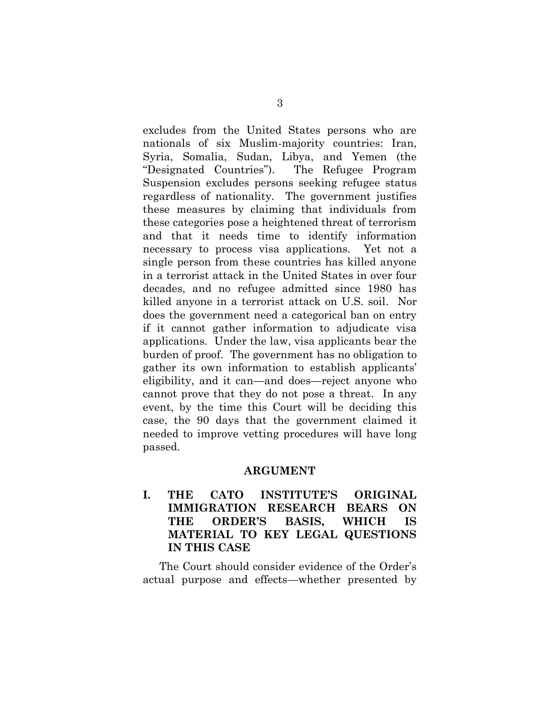excludes from the United States persons who are nationals of six Muslim-majority countries: Iran, Syria, Somalia, Sudan, Libya, and Yemen (the "Designated Countries"). The Refugee Program Suspension excludes persons seeking refugee status regardless of nationality. The government justifies these measures by claiming that individuals from these categories pose a heightened threat of terrorism and that it needs time to identify information necessary to process visa applications. Yet not a single person from these countries has killed anyone in a terrorist attack in the United States in over four decades, and no refugee admitted since 1980 has killed anyone in a terrorist attack on U.S. soil. Nor does the government need a categorical ban on entry if it cannot gather information to adjudicate visa applications. Under the law, visa applicants bear the burden of proof. The government has no obligation to gather its own information to establish applicants' eligibility, and it can—and does—reject anyone who cannot prove that they do not pose a threat. In any event, by the time this Court will be deciding this case, the 90 days that the government claimed it needed to improve vetting procedures will have long passed.

#### **ARGUMENT**

**I. THE CATO INSTITUTE'S ORIGINAL IMMIGRATION RESEARCH BEARS ON THE ORDER'S BASIS, WHICH IS MATERIAL TO KEY LEGAL QUESTIONS IN THIS CASE**

The Court should consider evidence of the Order's actual purpose and effects—whether presented by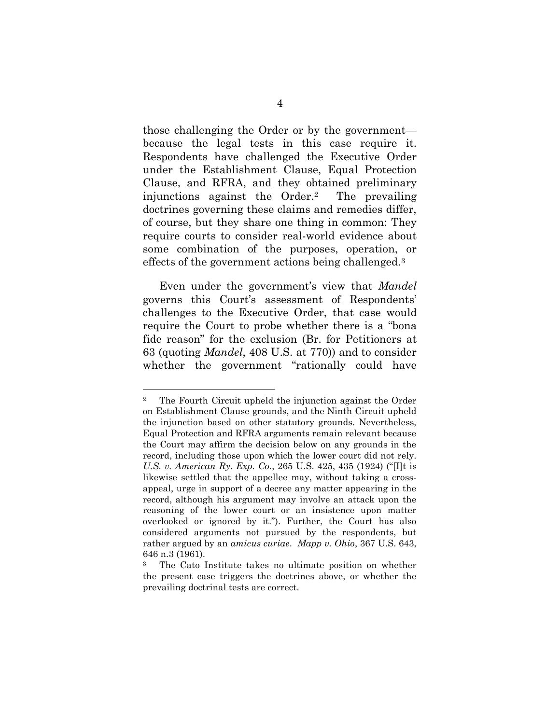those challenging the Order or by the government because the legal tests in this case require it. Respondents have challenged the Executive Order under the Establishment Clause, Equal Protection Clause, and RFRA, and they obtained preliminary injunctions against the Order.<sup>2</sup> The prevailing doctrines governing these claims and remedies differ, of course, but they share one thing in common: They require courts to consider real-world evidence about some combination of the purposes, operation, or effects of the government actions being challenged.<sup>3</sup>

Even under the government's view that *Mandel* governs this Court's assessment of Respondents' challenges to the Executive Order, that case would require the Court to probe whether there is a "bona fide reason" for the exclusion (Br. for Petitioners at 63 (quoting *Mandel*, 408 U.S. at 770)) and to consider whether the government "rationally could have

 $\overline{a}$ 

The Fourth Circuit upheld the injunction against the Order on Establishment Clause grounds, and the Ninth Circuit upheld the injunction based on other statutory grounds. Nevertheless, Equal Protection and RFRA arguments remain relevant because the Court may affirm the decision below on any grounds in the record, including those upon which the lower court did not rely. *U.S. v. American Ry. Exp. Co.*, 265 U.S. 425, 435 (1924) ("[I]t is likewise settled that the appellee may, without taking a crossappeal, urge in support of a decree any matter appearing in the record, although his argument may involve an attack upon the reasoning of the lower court or an insistence upon matter overlooked or ignored by it."). Further, the Court has also considered arguments not pursued by the respondents, but rather argued by an *amicus curiae*. *Mapp v. Ohio*, 367 U.S. 643, 646 n.3 (1961).

<sup>3</sup> The Cato Institute takes no ultimate position on whether the present case triggers the doctrines above, or whether the prevailing doctrinal tests are correct.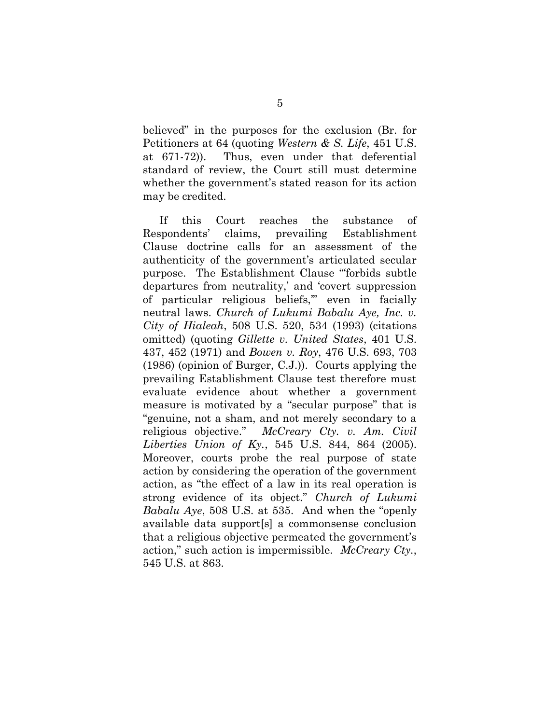believed" in the purposes for the exclusion (Br. for Petitioners at 64 (quoting *Western & S. Life*, 451 U.S. at 671-72)). Thus, even under that deferential standard of review, the Court still must determine whether the government's stated reason for its action may be credited.

If this Court reaches the substance of Respondents' claims, prevailing Establishment Clause doctrine calls for an assessment of the authenticity of the government's articulated secular purpose. The Establishment Clause "'forbids subtle departures from neutrality,' and 'covert suppression of particular religious beliefs,'" even in facially neutral laws. *Church of Lukumi Babalu Aye, Inc. v. City of Hialeah*, 508 U.S. 520, 534 (1993) (citations omitted) (quoting *Gillette v. United States*, 401 U.S. 437, 452 (1971) and *Bowen v. Roy*, 476 U.S. 693, 703 (1986) (opinion of Burger, C.J.)). Courts applying the prevailing Establishment Clause test therefore must evaluate evidence about whether a government measure is motivated by a "secular purpose" that is "genuine, not a sham, and not merely secondary to a religious objective." *McCreary Cty. v. Am. Civil Liberties Union of Ky.*, 545 U.S. 844, 864 (2005). Moreover, courts probe the real purpose of state action by considering the operation of the government action, as "the effect of a law in its real operation is strong evidence of its object." *Church of Lukumi Babalu Aye*, 508 U.S. at 535. And when the "openly available data support[s] a commonsense conclusion that a religious objective permeated the government's action," such action is impermissible. *McCreary Cty.*, 545 U.S. at 863.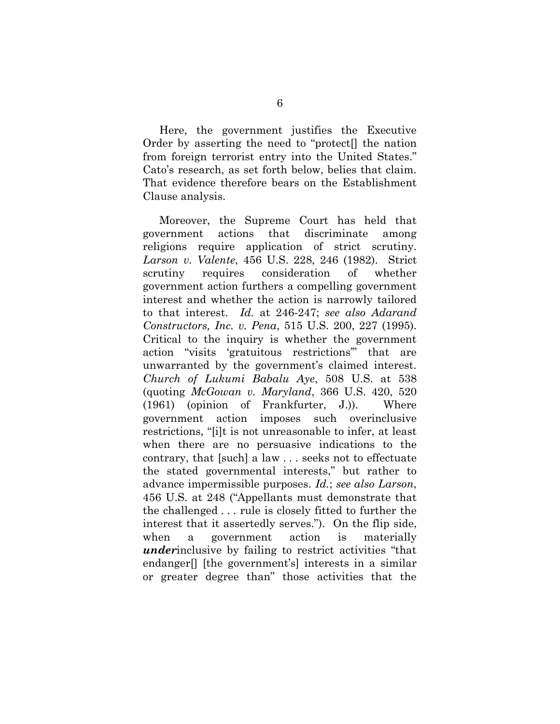Here, the government justifies the Executive Order by asserting the need to "protect[] the nation from foreign terrorist entry into the United States." Cato's research, as set forth below, belies that claim. That evidence therefore bears on the Establishment Clause analysis.

Moreover, the Supreme Court has held that government actions that discriminate among religions require application of strict scrutiny. *Larson v. Valente*, 456 U.S. 228, 246 (1982). Strict scrutiny requires consideration of whether government action furthers a compelling government interest and whether the action is narrowly tailored to that interest. *Id.* at 246-247; *see also Adarand Constructors, Inc. v. Pena*, 515 U.S. 200, 227 (1995). Critical to the inquiry is whether the government action "visits 'gratuitous restrictions'" that are unwarranted by the government's claimed interest. *Church of Lukumi Babalu Aye*, 508 U.S. at 538 (quoting *McGowan v. Maryland*, 366 U.S. 420, 520 (1961) (opinion of Frankfurter, J.)). Where government action imposes such overinclusive restrictions, "[i]t is not unreasonable to infer, at least when there are no persuasive indications to the contrary, that [such] a law . . . seeks not to effectuate the stated governmental interests," but rather to advance impermissible purposes. *Id.*; *see also Larson*, 456 U.S. at 248 ("Appellants must demonstrate that the challenged . . . rule is closely fitted to further the interest that it assertedly serves."). On the flip side, when a government action is materially *under*inclusive by failing to restrict activities "that endanger[] [the government's] interests in a similar or greater degree than" those activities that the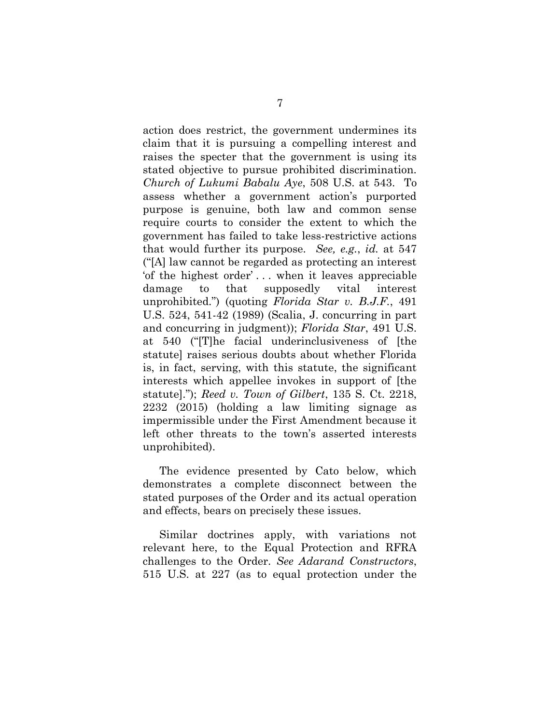action does restrict, the government undermines its claim that it is pursuing a compelling interest and raises the specter that the government is using its stated objective to pursue prohibited discrimination. *Church of Lukumi Babalu Aye*, 508 U.S. at 543. To assess whether a government action's purported purpose is genuine, both law and common sense require courts to consider the extent to which the government has failed to take less-restrictive actions that would further its purpose. *See, e.g.*, *id.* at 547 ("[A] law cannot be regarded as protecting an interest 'of the highest order' . . . when it leaves appreciable damage to that supposedly vital interest unprohibited.") (quoting *Florida Star v. B.J.F.*, 491 U.S. 524, 541-42 (1989) (Scalia, J. concurring in part and concurring in judgment)); *Florida Star*, 491 U.S. at 540 ("[T]he facial underinclusiveness of [the statute] raises serious doubts about whether Florida is, in fact, serving, with this statute, the significant interests which appellee invokes in support of [the statute]."); *Reed v. Town of Gilbert*, 135 S. Ct. 2218, 2232 (2015) (holding a law limiting signage as impermissible under the First Amendment because it left other threats to the town's asserted interests unprohibited).

The evidence presented by Cato below, which demonstrates a complete disconnect between the stated purposes of the Order and its actual operation and effects, bears on precisely these issues.

Similar doctrines apply, with variations not relevant here, to the Equal Protection and RFRA challenges to the Order. *See Adarand Constructors*, 515 U.S. at 227 (as to equal protection under the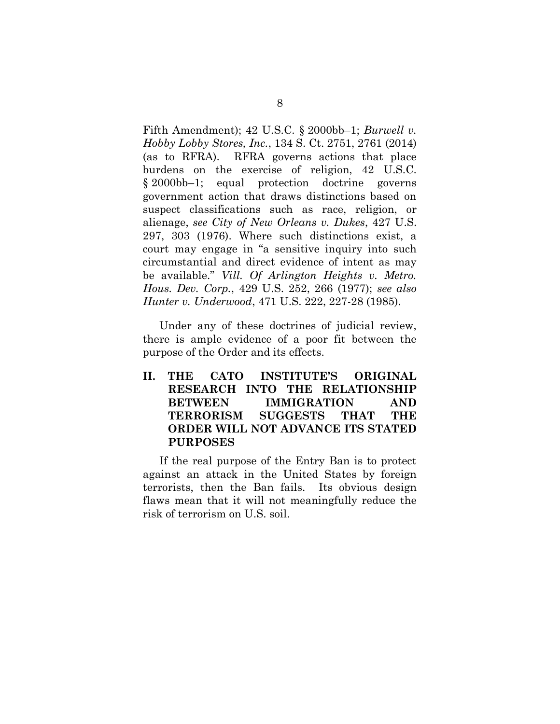Fifth Amendment); 42 U.S.C. § 2000bb–1; *Burwell v. Hobby Lobby Stores, Inc.*, 134 S. Ct. 2751, 2761 (2014) (as to RFRA). RFRA governs actions that place burdens on the exercise of religion, 42 U.S.C. § 2000bb–1; equal protection doctrine governs government action that draws distinctions based on suspect classifications such as race, religion, or alienage, *see City of New Orleans v. Dukes*, 427 U.S. 297, 303 (1976). Where such distinctions exist, a court may engage in "a sensitive inquiry into such circumstantial and direct evidence of intent as may be available." *Vill. Of Arlington Heights v. Metro. Hous. Dev. Corp.*, 429 U.S. 252, 266 (1977); *see also Hunter v. Underwood*, 471 U.S. 222, 227-28 (1985).

Under any of these doctrines of judicial review, there is ample evidence of a poor fit between the purpose of the Order and its effects.

**II. THE CATO INSTITUTE'S ORIGINAL RESEARCH INTO THE RELATIONSHIP BETWEEN IMMIGRATION AND TERRORISM SUGGESTS THAT THE ORDER WILL NOT ADVANCE ITS STATED PURPOSES**

If the real purpose of the Entry Ban is to protect against an attack in the United States by foreign terrorists, then the Ban fails. Its obvious design flaws mean that it will not meaningfully reduce the risk of terrorism on U.S. soil.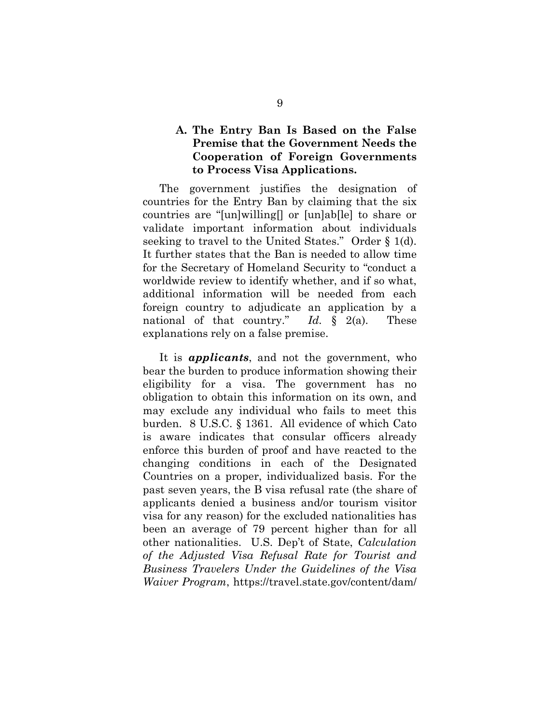### **A. The Entry Ban Is Based on the False Premise that the Government Needs the Cooperation of Foreign Governments to Process Visa Applications.**

The government justifies the designation of countries for the Entry Ban by claiming that the six countries are "[un]willing[] or [un]ab[le] to share or validate important information about individuals seeking to travel to the United States." Order § 1(d). It further states that the Ban is needed to allow time for the Secretary of Homeland Security to "conduct a worldwide review to identify whether, and if so what, additional information will be needed from each foreign country to adjudicate an application by a national of that country." *Id.* § 2(a). These explanations rely on a false premise.

It is *applicants*, and not the government, who bear the burden to produce information showing their eligibility for a visa. The government has no obligation to obtain this information on its own, and may exclude any individual who fails to meet this burden. 8 U.S.C. § 1361. All evidence of which Cato is aware indicates that consular officers already enforce this burden of proof and have reacted to the changing conditions in each of the Designated Countries on a proper, individualized basis. For the past seven years, the B visa refusal rate (the share of applicants denied a business and/or tourism visitor visa for any reason) for the excluded nationalities has been an average of 79 percent higher than for all other nationalities. U.S. Dep't of State, *Calculation of the Adjusted Visa Refusal Rate for Tourist and Business Travelers Under the Guidelines of the Visa Waiver Program*, [https://travel.state.gov/content/dam/](https://travel.state.gov/content/dam/visas/Statistics/Non-Immigrant-Statistics/refusalratelanguage.pdf)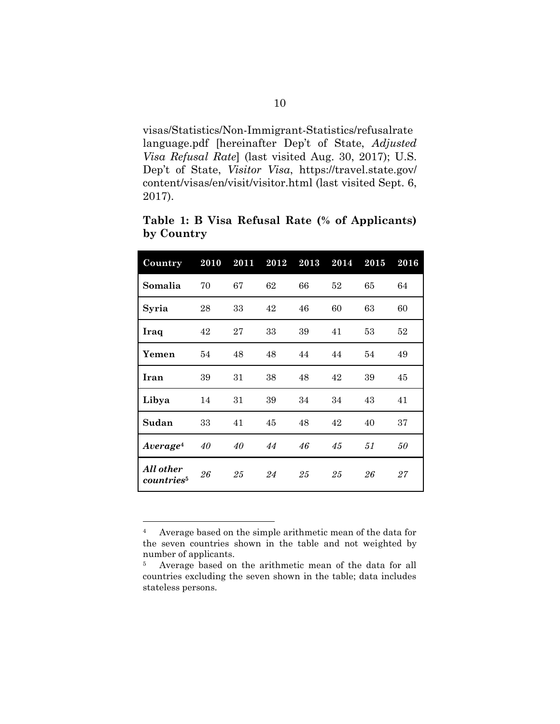[visas/Statistics/Non-Immigrant-Statistics/refusalrate](https://travel.state.gov/content/dam/visas/Statistics/Non-Immigrant-Statistics/refusalratelanguage.pdf) language.pdf [hereinafter Dep't of State, *Adjusted Visa Refusal Rate*] (last visited Aug. 30, 2017); U.S. Dep't of State, *Visitor Visa*, https://travel.state.gov/ [content/visas/en/visit/visitor.html \(last visited Sept. 6,](https://travel.state.gov/content/visas/en/visit/visitor.html) 2017).

| Country                             | 2010 | 2011 | 2012 | 2013 | 2014 | 2015 | 2016 |
|-------------------------------------|------|------|------|------|------|------|------|
| Somalia                             | 70   | 67   | 62   | 66   | 52   | 65   | 64   |
| Syria                               | 28   | 33   | 42   | 46   | 60   | 63   | 60   |
| Iraq                                | 42   | 27   | 33   | 39   | 41   | 53   | 52   |
| Yemen                               | 54   | 48   | 48   | 44   | 44   | 54   | 49   |
| Iran                                | 39   | 31   | 38   | 48   | 42   | 39   | 45   |
| Libya                               | 14   | 31   | 39   | 34   | 34   | 43   | 41   |
| Sudan                               | 33   | 41   | 45   | 48   | 42   | 40   | 37   |
| Average <sup>4</sup>                | 40   | 40   | 44   | 46   | 45   | 51   | 50   |
| All other<br>countries <sup>5</sup> | 26   | 25   | 24   | 25   | 25   | 26   | 27   |

**Table 1: B Visa Refusal Rate (% of Applicants) by Country** 

 $\overline{a}$ 

<sup>4</sup> Average based on the simple arithmetic mean of the data for the seven countries shown in the table and not weighted by number of applicants.

<sup>5</sup> Average based on the arithmetic mean of the data for all countries excluding the seven shown in the table; data includes stateless persons.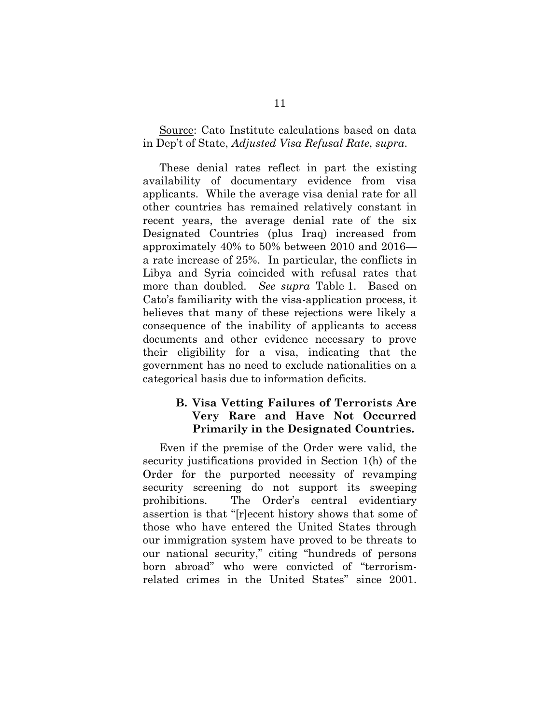Source: Cato Institute calculations based on data in Dep't of State, *Adjusted Visa Refusal Rate*, *supra*.

These denial rates reflect in part the existing availability of documentary evidence from visa applicants. While the average visa denial rate for all other countries has remained relatively constant in recent years, the average denial rate of the six Designated Countries (plus Iraq) increased from approximately 40% to 50% between 2010 and 2016 a rate increase of 25%. In particular, the conflicts in Libya and Syria coincided with refusal rates that more than doubled. *See supra* Table 1. Based on Cato's familiarity with the visa-application process, it believes that many of these rejections were likely a consequence of the inability of applicants to access documents and other evidence necessary to prove their eligibility for a visa, indicating that the government has no need to exclude nationalities on a categorical basis due to information deficits.

### **B. Visa Vetting Failures of Terrorists Are Very Rare and Have Not Occurred Primarily in the Designated Countries.**

Even if the premise of the Order were valid, the security justifications provided in Section 1(h) of the Order for the purported necessity of revamping security screening do not support its sweeping prohibitions. The Order's central evidentiary assertion is that "[r]ecent history shows that some of those who have entered the United States through our immigration system have proved to be threats to our national security," citing "hundreds of persons born abroad" who were convicted of "terrorismrelated crimes in the United States" since 2001.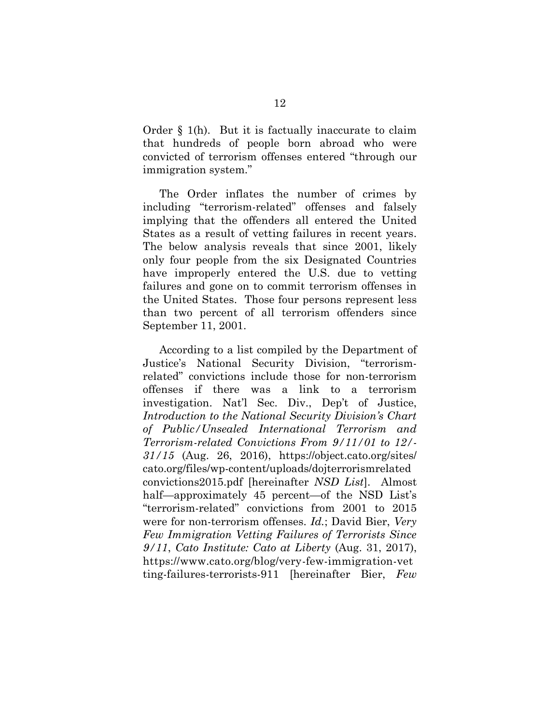Order § 1(h). But it is factually inaccurate to claim that hundreds of people born abroad who were convicted of terrorism offenses entered "through our immigration system."

The Order inflates the number of crimes by including "terrorism-related" offenses and falsely implying that the offenders all entered the United States as a result of vetting failures in recent years. The below analysis reveals that since 2001, likely only four people from the six Designated Countries have improperly entered the U.S. due to vetting failures and gone on to commit terrorism offenses in the United States. Those four persons represent less than two percent of all terrorism offenders since September 11, 2001.

According to a list compiled by the Department of Justice's National Security Division, "terrorismrelated" convictions include those for non-terrorism offenses if there was a link to a terrorism investigation. Nat'l Sec. Div., Dep't of Justice, *Introduction to the National Security Division's Chart of Public/Unsealed International Terrorism and Terrorism-related Convictions From 9/11/01 to 12/- 31/15* (Aug. 26, 2016), https://object.cato.org/sites/ [cato.org/files/wp-content/uploads/dojterrorismrelated](https://object.cato.org/sites/cato.org/files/wp-content/uploads/dojterrorismrelatedconvictions2015.pdf) convictions2015.pdf [hereinafter *NSD List*]. Almost half—approximately 45 percent—of the NSD List's "terrorism-related" convictions from 2001 to 2015 were for non-terrorism offenses. *Id.*; David Bier, *Very Few Immigration Vetting Failures of Terrorists Since 9/11*, *Cato Institute: Cato at Liberty* (Aug. 31, 2017), [https://www.cato.org/blog/very-few-immigration-vet](https://www.cato.org/blog/very-few-immigration-vetting-failures-terrorists-911) ting-failures-terrorists-911 [hereinafter Bier, *Few*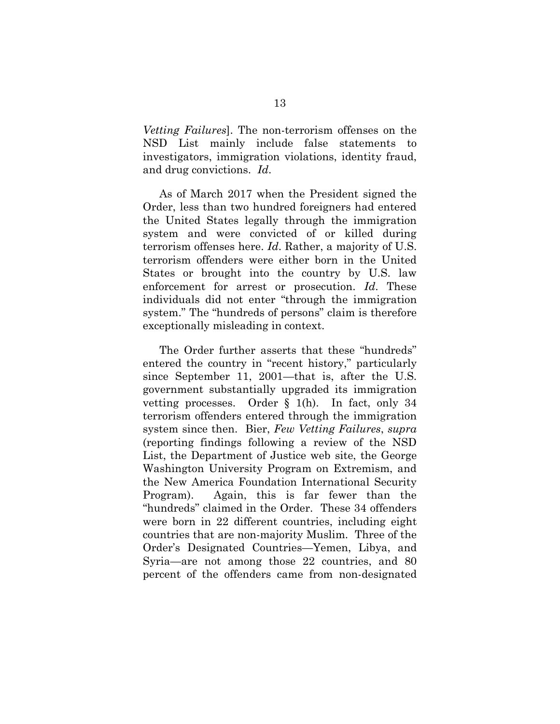*Vetting Failures*]. The non-terrorism offenses on the NSD List mainly include false statements to investigators, immigration violations, identity fraud, and drug convictions. *Id*.

As of March 2017 when the President signed the Order, less than two hundred foreigners had entered the United States legally through the immigration system and were convicted of or killed during terrorism offenses here. *Id*. Rather, a majority of U.S. terrorism offenders were either born in the United States or brought into the country by U.S. law enforcement for arrest or prosecution. *Id*. These individuals did not enter "through the immigration system." The "hundreds of persons" claim is therefore exceptionally misleading in context.

The Order further asserts that these "hundreds" entered the country in "recent history," particularly since September 11, 2001—that is, after the U.S. government substantially upgraded its immigration vetting processes. Order § 1(h). In fact, only 34 terrorism offenders entered through the immigration system since then. Bier, *Few Vetting Failures*, *supra* (reporting findings following a review of the NSD List, the Department of Justice web site, the George Washington University Program on Extremism, and the New America Foundation International Security Program). Again, this is far fewer than the "hundreds" claimed in the Order. These 34 offenders were born in 22 different countries, including eight countries that are non-majority Muslim. Three of the Order's Designated Countries—Yemen, Libya, and Syria—are not among those 22 countries, and 80 percent of the offenders came from non-designated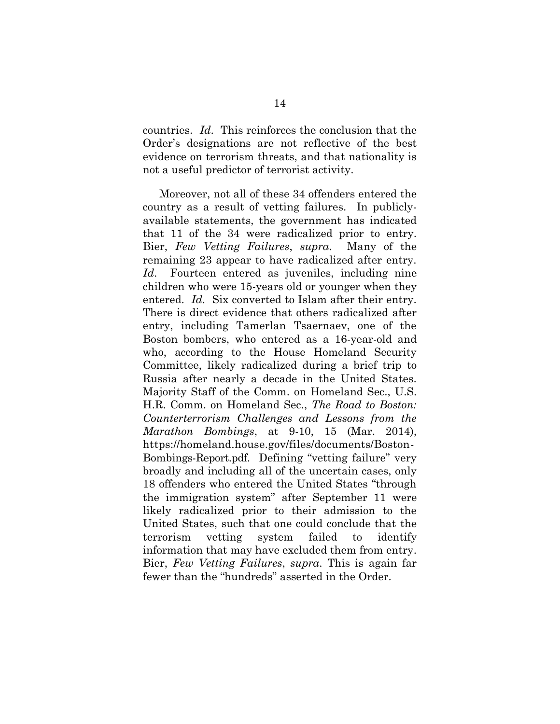countries. *Id*. This reinforces the conclusion that the Order's designations are not reflective of the best evidence on terrorism threats, and that nationality is not a useful predictor of terrorist activity.

Moreover, not all of these 34 offenders entered the country as a result of vetting failures. In publiclyavailable statements, the government has indicated that 11 of the 34 were radicalized prior to entry. Bier, *Few Vetting Failures*, *supra*. Many of the remaining 23 appear to have radicalized after entry. *Id*. Fourteen entered as juveniles, including nine children who were 15-years old or younger when they entered. *Id.* Six converted to Islam after their entry. There is direct evidence that others radicalized after entry, including Tamerlan Tsaernaev, one of the Boston bombers, who entered as a 16-year-old and who, according to the House Homeland Security Committee, likely radicalized during a brief trip to Russia after nearly a decade in the United States. Majority Staff of the Comm. on Homeland Sec., U.S. H.R. Comm. on Homeland Sec., *The Road to Boston: Counterterrorism Challenges and Lessons from the Marathon Bombings*, at 9-10, 15 (Mar. 2014), [https://homeland.house.gov/files/documents/Boston-](https://homeland.house.gov/files/documents/Boston-Bombings-Report.pdf)Bombings-Report.pdf. Defining "vetting failure" very broadly and including all of the uncertain cases, only 18 offenders who entered the United States "through the immigration system" after September 11 were likely radicalized prior to their admission to the United States, such that one could conclude that the terrorism vetting system failed to identify information that may have excluded them from entry. Bier, *Few Vetting Failures*, *supra*. This is again far fewer than the "hundreds" asserted in the Order.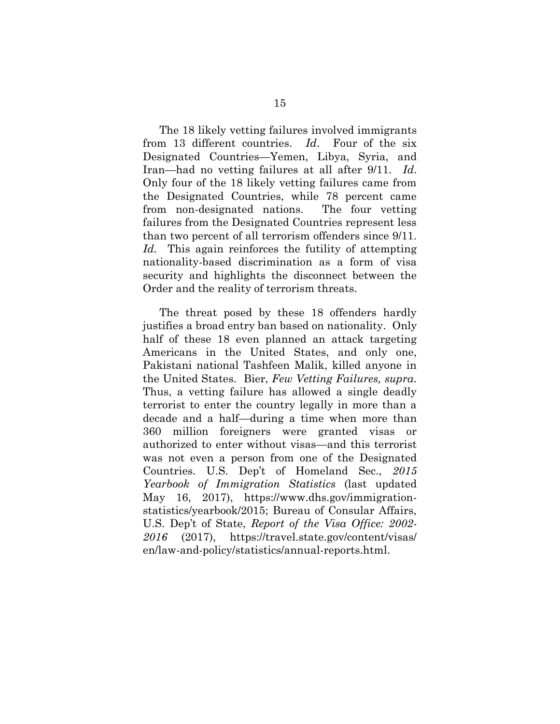The 18 likely vetting failures involved immigrants from 13 different countries. *Id*. Four of the six Designated Countries—Yemen, Libya, Syria, and Iran—had no vetting failures at all after 9/11. *Id*. Only four of the 18 likely vetting failures came from the Designated Countries, while 78 percent came from non-designated nations. The four vetting failures from the Designated Countries represent less than two percent of all terrorism offenders since 9/11. Id. This again reinforces the futility of attempting nationality-based discrimination as a form of visa security and highlights the disconnect between the Order and the reality of terrorism threats.

The threat posed by these 18 offenders hardly justifies a broad entry ban based on nationality. Only half of these 18 even planned an attack targeting Americans in the United States, and only one, Pakistani national Tashfeen Malik, killed anyone in the United States. Bier, *Few Vetting Failures, supra*. Thus, a vetting failure has allowed a single deadly terrorist to enter the country legally in more than a decade and a half—during a time when more than 360 million foreigners were granted visas or authorized to enter without visas—and this terrorist was not even a person from one of the Designated Countries. U.S. Dep't of Homeland Sec., *2015 Yearbook of Immigration Statistics* (last updated May 16, 2017), https://www.dhs.gov/immigration[statistics/yearbook/2015; Bureau of Consular Affairs,](https://www.dhs.gov/immigration-statistics/yearbook/2015) U.S. Dep't of State, *Report of the Visa Office: 2002- 2016* (2017), https://travel.state.gov/content/visas/ [en/law-and-policy/statistics/annual-reports.html.](https://travel.state.gov/content/visas/en/law-and-policy/statistics/annual-reports.html)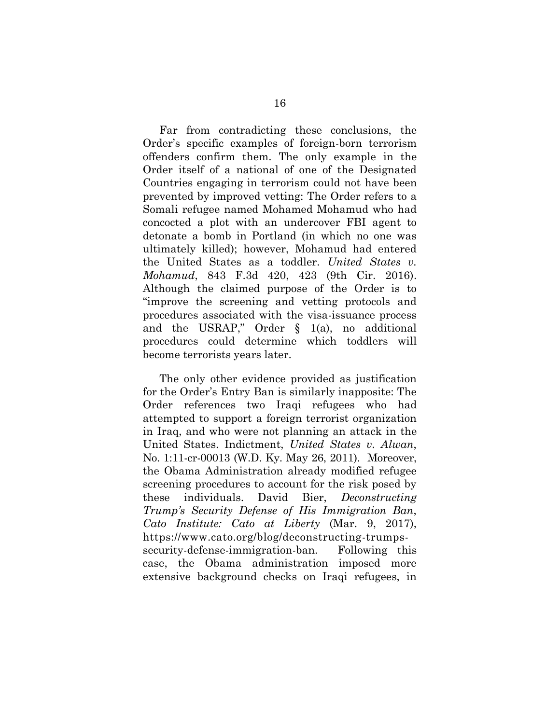Far from contradicting these conclusions, the Order's specific examples of foreign-born terrorism offenders confirm them. The only example in the Order itself of a national of one of the Designated Countries engaging in terrorism could not have been prevented by improved vetting: The Order refers to a Somali refugee named Mohamed Mohamud who had concocted a plot with an undercover FBI agent to detonate a bomb in Portland (in which no one was ultimately killed); however, Mohamud had entered the United States as a toddler. *United States v. Mohamud*, 843 F.3d 420, 423 (9th Cir. 2016). Although the claimed purpose of the Order is to "improve the screening and vetting protocols and procedures associated with the visa-issuance process and the USRAP," Order § 1(a), no additional procedures could determine which toddlers will become terrorists years later.

The only other evidence provided as justification for the Order's Entry Ban is similarly inapposite: The Order references two Iraqi refugees who had attempted to support a foreign terrorist organization in Iraq, and who were not planning an attack in the United States. Indictment, *United States v. Alwan*, No. 1:11-cr-00013 (W.D. Ky. May 26, 2011). Moreover, the Obama Administration already modified refugee screening procedures to account for the risk posed by these individuals. David Bier, *Deconstructing Trump's Security Defense of His Immigration Ban*, *Cato Institute: Cato at Liberty* (Mar. 9, 2017), https://www.cato.org/blog/deconstructing-trumps[security-defense-immigration-ban. Following this](https://www.cato.org/blog/deconstructing-trumps-security-defense-immigration-ban) case, the Obama administration imposed more extensive background checks on Iraqi refugees, in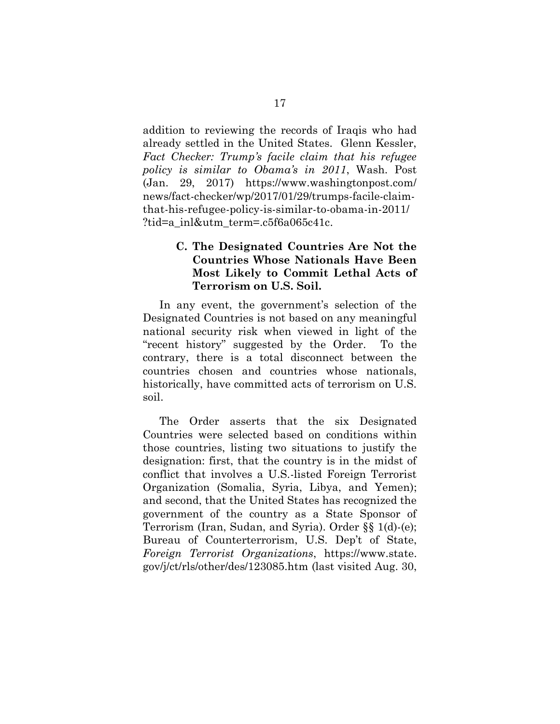addition to reviewing the records of Iraqis who had already settled in the United States. Glenn Kessler, *Fact Checker: Trump's facile claim that his refugee policy is similar to Obama's in 2011*, Wash. Post (Jan. 29, 2017) https://www.washingtonpost.com/ [news/fact-checker/wp/2017/01/29/trumps-facile-claim](https://www.washingtonpost.com/news/fact-checker/wp/2017/01/29/trumps-facile-claim-that-his-refugee-policy-is-similar-to-obama-in-2011/?tid=a_inl&utm_term=.c5f6a065c41c)that-his-refugee-policy-is-similar-to-obama-in-2011/ ?tid=a\_inl&utm\_term=.c5f6a065c41c.

### **C. The Designated Countries Are Not the Countries Whose Nationals Have Been Most Likely to Commit Lethal Acts of Terrorism on U.S. Soil.**

In any event, the government's selection of the Designated Countries is not based on any meaningful national security risk when viewed in light of the "recent history" suggested by the Order. To the contrary, there is a total disconnect between the countries chosen and countries whose nationals, historically, have committed acts of terrorism on U.S. soil.

The Order asserts that the six Designated Countries were selected based on conditions within those countries, listing two situations to justify the designation: first, that the country is in the midst of conflict that involves a U.S.-listed Foreign Terrorist Organization (Somalia, Syria, Libya, and Yemen); and second, that the United States has recognized the government of the country as a State Sponsor of Terrorism (Iran, Sudan, and Syria). Order §§ 1(d)-(e); Bureau of Counterterrorism, U.S. Dep't of State, *Foreign Terrorist Organizations*, https://www.state. [gov/j/ct/rls/other/des/123085.htm](https://www.state.gov/j/ct/rls/other/des/123085.htm) (last visited Aug. 30,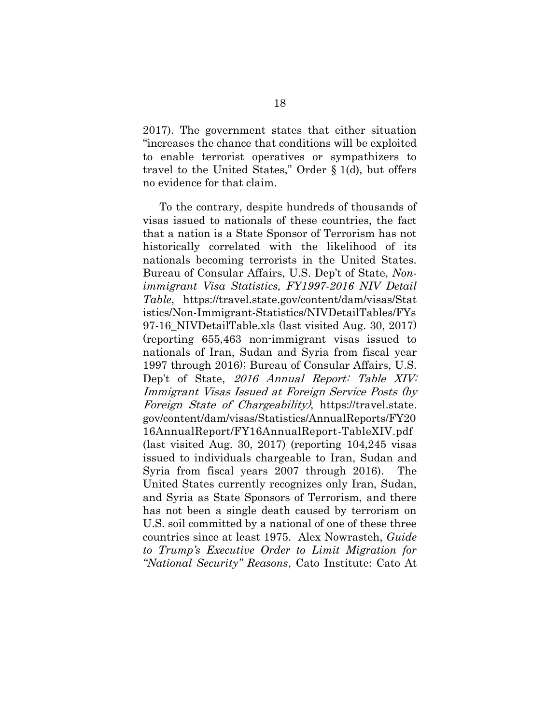2017). The government states that either situation "increases the chance that conditions will be exploited to enable terrorist operatives or sympathizers to travel to the United States," Order § 1(d), but offers no evidence for that claim.

To the contrary, despite hundreds of thousands of visas issued to nationals of these countries, the fact that a nation is a State Sponsor of Terrorism has not historically correlated with the likelihood of its nationals becoming terrorists in the United States. Bureau of Consular Affairs, U.S. Dep't of State, *Nonimmigrant Visa Statistics, FY1997-2016 NIV Detail Table*, [https://travel.state.gov/content/dam/visas/Stat](https://travel.state.gov/content/dam/visas/Statistics/Non-Immigrant-Statistics/NIVDetailTables/FYs97-16_NIVDetailTable.xls) [istics/Non-Immigrant-Statistics/NIVDetailTables/FYs](https://travel.state.gov/content/dam/visas/Statistics/Non-Immigrant-Statistics/NIVDetailTables/FYs97-16_NIVDetailTable.xls) [97-16\\_NIVDetailTable.xls](https://travel.state.gov/content/dam/visas/Statistics/Non-Immigrant-Statistics/NIVDetailTables/FYs97-16_NIVDetailTable.xls) (last visited Aug. 30, 2017) (reporting 655,463 non-immigrant visas issued to nationals of Iran, Sudan and Syria from fiscal year 1997 through 2016); Bureau of Consular Affairs, U.S. Dep't of State, 2016 Annual Report: Table XIV: Immigrant Visas Issued at Foreign Service Posts (by Foreign State of Chargeability), [https://travel.state.](https://travel.state.gov/content/dam/visas/Statistics/AnnualReports/FY2016AnnualReport/FY16AnnualReport-TableXIV.pdf) [gov/content/dam/visas/Statistics/AnnualReports/FY20](https://travel.state.gov/content/dam/visas/Statistics/AnnualReports/FY2016AnnualReport/FY16AnnualReport-TableXIV.pdf) [16AnnualReport/FY16AnnualReport-TableXIV.pdf](https://travel.state.gov/content/dam/visas/Statistics/AnnualReports/FY2016AnnualReport/FY16AnnualReport-TableXIV.pdf) (last visited Aug. 30, 2017) (reporting 104,245 visas issued to individuals chargeable to Iran, Sudan and Syria from fiscal years 2007 through 2016). The United States currently recognizes only Iran, Sudan, and Syria as State Sponsors of Terrorism, and there has not been a single death caused by terrorism on U.S. soil committed by a national of one of these three countries since at least 1975. Alex Nowrasteh, *Guide to Trump's Executive Order to Limit Migration for "National Security" Reasons*, Cato Institute: Cato At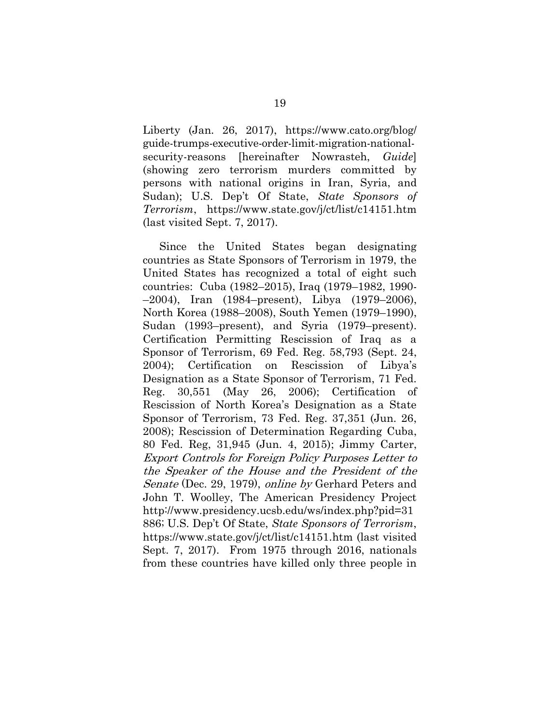Liberty (Jan. 26, 2017), [https://www.cato.org/blog/](https://www.cato.org/blog/guide-trumps-executive-order-limit-migration-national-security-reasons) [guide-trumps-executive-order-limit-migration-national](https://www.cato.org/blog/guide-trumps-executive-order-limit-migration-national-security-reasons)[security-reasons](https://www.cato.org/blog/guide-trumps-executive-order-limit-migration-national-security-reasons) [hereinafter Nowrasteh, *Guide*] (showing zero terrorism murders committed by persons with national origins in Iran, Syria, and Sudan); U.S. Dep't Of State, *State Sponsors of Terrorism*, <https://www.state.gov/j/ct/list/c14151.htm> (last visited Sept. 7, 2017).

Since the United States began designating countries as State Sponsors of Terrorism in 1979, the United States has recognized a total of eight such countries: Cuba (1982–2015), Iraq (1979–1982, 1990- –2004), Iran (1984–present), Libya (1979–2006), North Korea (1988–2008), South Yemen (1979–1990), Sudan (1993–present), and Syria (1979–present). Certification Permitting Rescission of Iraq as a Sponsor of Terrorism, 69 Fed. Reg. 58,793 (Sept. 24, 2004); Certification on Rescission of Libya's Designation as a State Sponsor of Terrorism, 71 Fed. Reg. 30,551 (May 26, 2006); Certification of Rescission of North Korea's Designation as a State Sponsor of Terrorism, 73 Fed. Reg. 37,351 (Jun. 26, 2008); Rescission of Determination Regarding Cuba, 80 Fed. Reg, 31,945 (Jun. 4, 2015); Jimmy Carter, Export Controls for Foreign Policy Purposes Letter to the Speaker of the House and the President of the Senate (Dec. 29, 1979), online by Gerhard Peters and John T. Woolley, The American Presidency Project [http://www.presidency.ucsb.edu/ws/index.php?pid=31](http://www.presidency.ucsb.edu/ws/index.php?pid=31886) 886; U.S. Dep't Of State, *State Sponsors of Terrorism*, <https://www.state.gov/j/ct/list/c14151.htm> (last visited Sept. 7, 2017). From 1975 through 2016, nationals from these countries have killed only three people in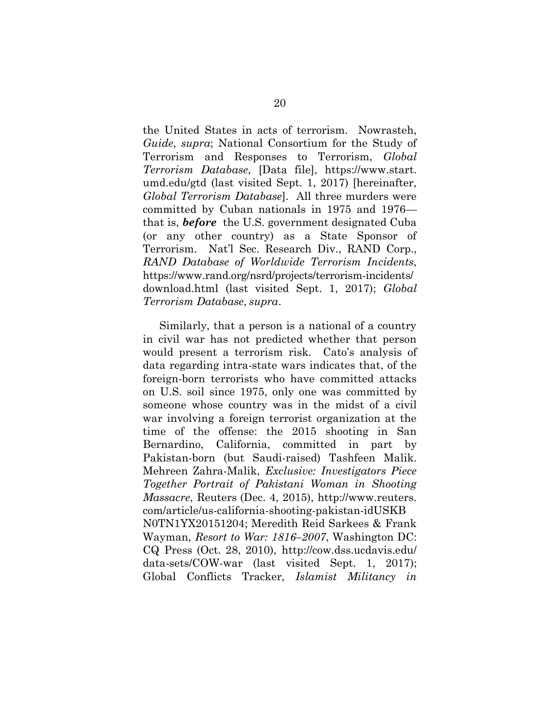the United States in acts of terrorism. Nowrasteh, *Guide*, *supra*; National Consortium for the Study of Terrorism and Responses to Terrorism, *Global Terrorism Database*, [Data file], [https://www.start.](https://www.start.umd.edu/gtd) [umd.edu/gtd](https://www.start.umd.edu/gtd) (last visited Sept. 1, 2017) [hereinafter, *Global Terrorism Database*]. All three murders were committed by Cuban nationals in 1975 and 1976 that is, *before* the U.S. government designated Cuba (or any other country) as a State Sponsor of Terrorism. Nat'l Sec. Research Div., RAND Corp., *RAND Database of Worldwide Terrorism Incidents*, [https://www.rand.org/nsrd/projects/terrorism-incidents/](https://www.rand.org/nsrd/projects/terrorism-incidents/download.html) [download.html](https://www.rand.org/nsrd/projects/terrorism-incidents/download.html) (last visited Sept. 1, 2017); *Global Terrorism Database*, *supra*.

Similarly, that a person is a national of a country in civil war has not predicted whether that person would present a terrorism risk. Cato's analysis of data regarding intra-state wars indicates that, of the foreign-born terrorists who have committed attacks on U.S. soil since 1975, only one was committed by someone whose country was in the midst of a civil war involving a foreign terrorist organization at the time of the offense: the 2015 shooting in San Bernardino, California, committed in part by Pakistan-born (but Saudi-raised) Tashfeen Malik. Mehreen Zahra-Malik, *Exclusive: Investigators Piece Together Portrait of Pakistani Woman in Shooting Massacre*, Reuters (Dec. 4, 2015), http://www.reuters. com/article/us-california-shooting-pakistan-idUSKB [N0TN1YX20151204; Meredith Reid Sarkees & Frank](http://www.reuters.com/article/us-california-shooting-pakistan-idUSKBN0TN1YX20151204) Wayman, *Resort to War: 1816–2007*, Washington DC: CQ Press (Oct. 28, 2010), [http://cow.dss.ucdavis.edu/](http://cow.dss.ucdavis.edu/data-sets/COW-war) [data-sets/COW-war](http://cow.dss.ucdavis.edu/data-sets/COW-war) (last visited Sept. 1, 2017);

Global Conflicts Tracker, *Islamist Militancy in*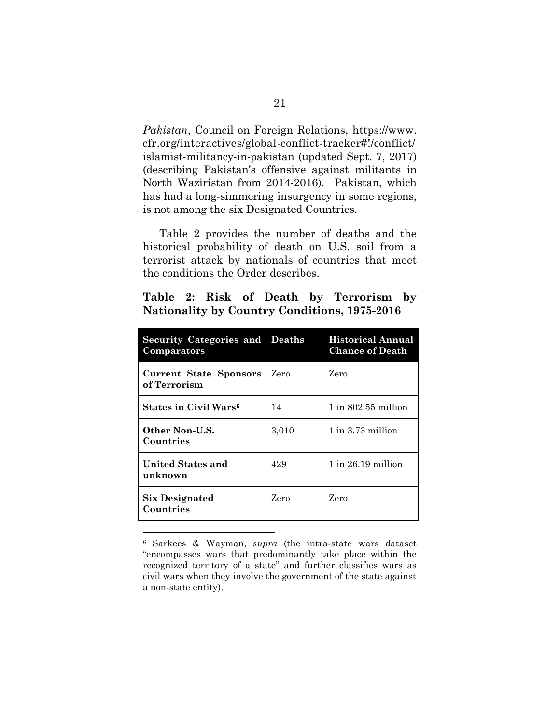*Pakistan*, Council on Foreign Relations, https://www. [cfr.org/interactives/global-conflict-tracker#!/conflict/](https://www.cfr.org/interactives/global-conflict-tracker#!/conflict/islamist-militancy-in-pakistan) islamist-militancy-in-pakistan (updated Sept. 7, 2017) (describing Pakistan's offensive against militants in North Waziristan from 2014-2016). Pakistan, which has had a long-simmering insurgency in some regions, is not among the six Designated Countries.

Table 2 provides the number of deaths and the historical probability of death on U.S. soil from a terrorist attack by nationals of countries that meet the conditions the Order describes.

|  |  |  | Table 2: Risk of Death by Terrorism by       |  |
|--|--|--|----------------------------------------------|--|
|  |  |  | Nationality by Country Conditions, 1975-2016 |  |

| <b>Security Categories and Deaths</b><br>Comparators |       | Historical Annual<br><b>Chance of Death</b> |
|------------------------------------------------------|-------|---------------------------------------------|
| Current State Sponsors Zero<br>of Terrorism          |       | Zero                                        |
| States in Civil Wars <sup>6</sup>                    | 14    | $1$ in $802.55$ million                     |
| Other Non-U.S.<br>Countries                          | 3,010 | $1$ in $3.73$ million                       |
| <b>United States and</b><br>unknown                  | 429   | $1$ in $26.19$ million                      |
| Six Designated<br>Countries                          | Zero  | Zero                                        |

<sup>6</sup> Sarkees & Wayman, *supra* (the intra-state wars dataset "encompasses wars that predominantly take place within the recognized territory of a state" and further classifies wars as civil wars when they involve the government of the state against a non-state entity).

 $\overline{a}$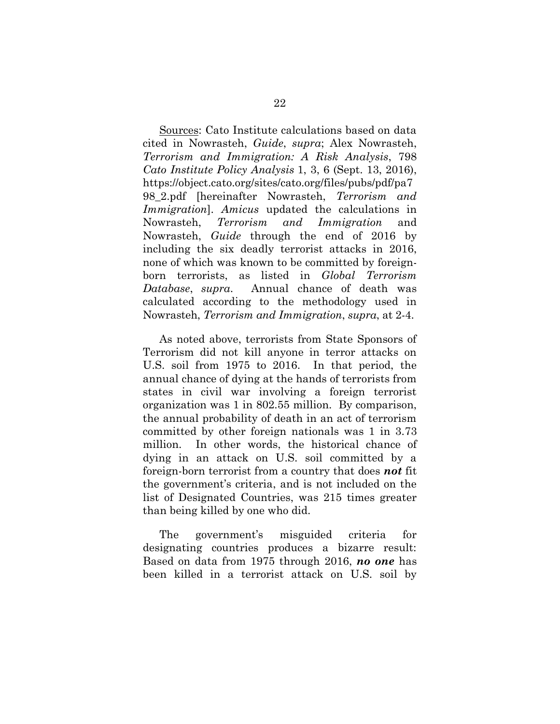Sources: Cato Institute calculations based on data cited in Nowrasteh, *Guide*, *supra*; Alex Nowrasteh, *Terrorism and Immigration: A Risk Analysis*, 798 *Cato Institute Policy Analysis* 1, 3, 6 (Sept. 13, 2016), [https://object.cato.org/sites/cato.org/files/pubs/pdf/pa7](https://object.cato.org/sites/cato.org/files/pubs/pdf/pa798_2.pdf) 98\_2.pdf [hereinafter Nowrasteh, *Terrorism and Immigration*]. *Amicus* updated the calculations in Nowrasteh, *Terrorism and Immigration* and Nowrasteh, *Guide* through the end of 2016 by including the six deadly terrorist attacks in 2016, none of which was known to be committed by foreignborn terrorists, as listed in *Global Terrorism Database*, *supra*. Annual chance of death was calculated according to the methodology used in Nowrasteh, *Terrorism and Immigration*, *supra*, at 2-4.

As noted above, terrorists from State Sponsors of Terrorism did not kill anyone in terror attacks on U.S. soil from 1975 to 2016. In that period, the annual chance of dying at the hands of terrorists from states in civil war involving a foreign terrorist organization was 1 in 802.55 million. By comparison, the annual probability of death in an act of terrorism committed by other foreign nationals was 1 in 3.73 million. In other words, the historical chance of dying in an attack on U.S. soil committed by a foreign-born terrorist from a country that does *not* fit the government's criteria, and is not included on the list of Designated Countries, was 215 times greater than being killed by one who did.

The government's misguided criteria for designating countries produces a bizarre result: Based on data from 1975 through 2016, *no one* has been killed in a terrorist attack on U.S. soil by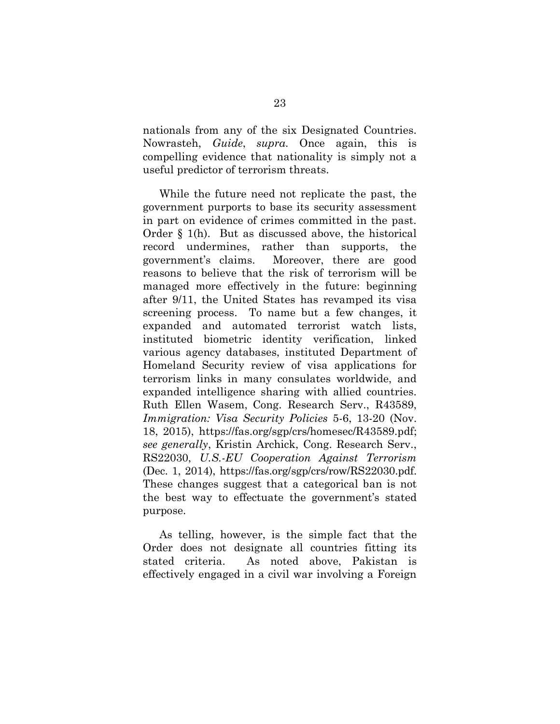nationals from any of the six Designated Countries. Nowrasteh, *Guide*, *supra*. Once again, this is compelling evidence that nationality is simply not a useful predictor of terrorism threats.

While the future need not replicate the past, the government purports to base its security assessment in part on evidence of crimes committed in the past. Order § 1(h). But as discussed above, the historical record undermines, rather than supports, the government's claims. Moreover, there are good reasons to believe that the risk of terrorism will be managed more effectively in the future: beginning after 9/11, the United States has revamped its visa screening process. To name but a few changes, it expanded and automated terrorist watch lists, instituted biometric identity verification, linked various agency databases, instituted Department of Homeland Security review of visa applications for terrorism links in many consulates worldwide, and expanded intelligence sharing with allied countries. Ruth Ellen Wasem, Cong. Research Serv., R43589, *Immigration: Visa Security Policies* 5-6, 13-20 (Nov. 18, 2015), [https://fas.org/sgp/crs/homesec/R43589.pdf;](https://fas.org/sgp/crs/homesec/R43589.pdf) *see generally*, Kristin Archick, Cong. Research Serv., RS22030, *U.S.-EU Cooperation Against Terrorism* (Dec. 1, 2014), [https://fas.org/sgp/crs/row/RS22030.pdf.](https://fas.org/sgp/crs/row/RS22030.pdf) These changes suggest that a categorical ban is not the best way to effectuate the government's stated purpose.

As telling, however, is the simple fact that the Order does not designate all countries fitting its stated criteria. As noted above, Pakistan is effectively engaged in a civil war involving a Foreign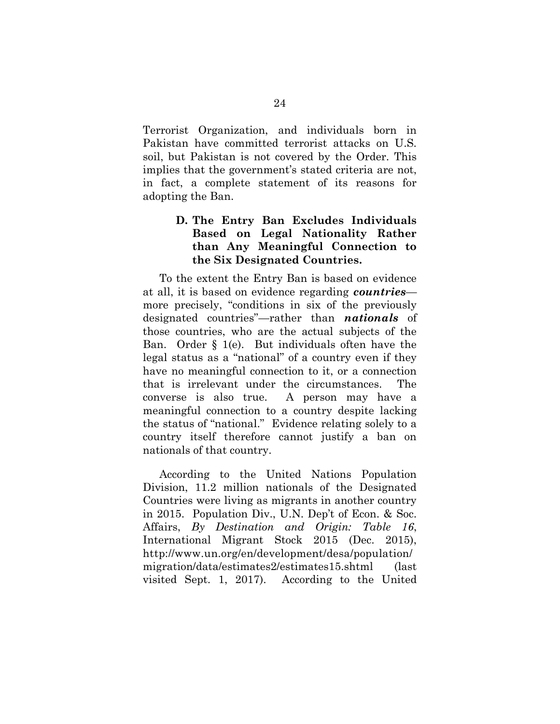Terrorist Organization, and individuals born in Pakistan have committed terrorist attacks on U.S. soil, but Pakistan is not covered by the Order. This implies that the government's stated criteria are not, in fact, a complete statement of its reasons for adopting the Ban.

### **D. The Entry Ban Excludes Individuals Based on Legal Nationality Rather than Any Meaningful Connection to the Six Designated Countries.**

To the extent the Entry Ban is based on evidence at all, it is based on evidence regarding *countries* more precisely, "conditions in six of the previously designated countries"—rather than *nationals* of those countries, who are the actual subjects of the Ban. Order § 1(e). But individuals often have the legal status as a "national" of a country even if they have no meaningful connection to it, or a connection that is irrelevant under the circumstances. The converse is also true. A person may have a meaningful connection to a country despite lacking the status of "national." Evidence relating solely to a country itself therefore cannot justify a ban on nationals of that country.

According to the United Nations Population Division, 11.2 million nationals of the Designated Countries were living as migrants in another country in 2015. Population Div., U.N. Dep't of Econ. & Soc. Affairs, *By Destination and Origin: Table 16*, International Migrant Stock 2015 (Dec. 2015), [http://www.un.org/en/development/desa/population/](http://www.un.org/en/development/desa/population/migration/data/estimates2/estimates15.shtml) [migration/data/estimates2/estimates15.shtml](http://www.un.org/en/development/desa/population/migration/data/estimates2/estimates15.shtml) (last visited Sept. 1, 2017). According to the United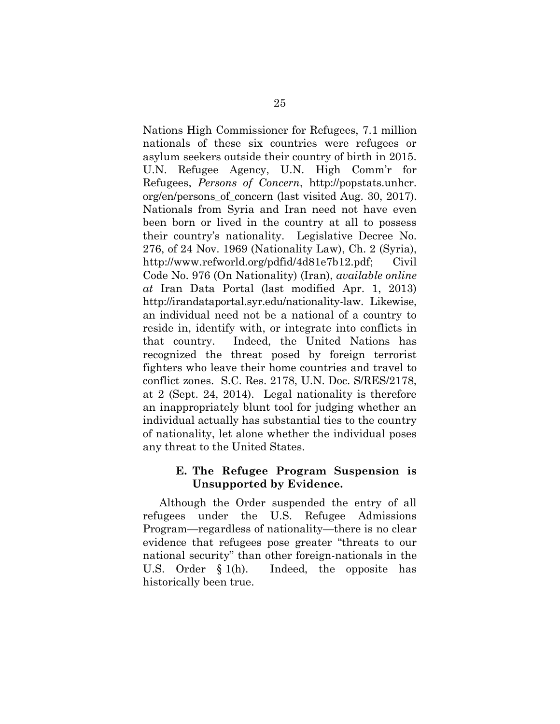Nations High Commissioner for Refugees, 7.1 million nationals of these six countries were refugees or asylum seekers outside their country of birth in 2015. U.N. Refugee Agency, U.N. High Comm'r for Refugees, *Persons of Concern*, [http://popstats.unhcr.](http://popstats.unhcr.org/en/persons_of_concern) [org/en/persons\\_of\\_concern](http://popstats.unhcr.org/en/persons_of_concern) (last visited Aug. 30, 2017). Nationals from Syria and Iran need not have even been born or lived in the country at all to possess their country's nationality. Legislative Decree No. 276, of 24 Nov. 1969 (Nationality Law), Ch. 2 (Syria), http://www.refworld.org/pdfid/4d81e7b12.pdf; Civil Code No. 976 (On Nationality) (Iran), *available online at* Iran Data Portal (last modified Apr. 1, 2013) http://irandataportal.syr.edu/nationality-law. Likewise, an individual need not be a national of a country to reside in, identify with, or integrate into conflicts in that country. Indeed, the United Nations has recognized the threat posed by foreign terrorist fighters who leave their home countries and travel to conflict zones. S.C. Res. 2178, U.N. Doc. S/RES/2178, at 2 (Sept. 24, 2014). Legal nationality is therefore an inappropriately blunt tool for judging whether an individual actually has substantial ties to the country of nationality, let alone whether the individual poses any threat to the United States.

#### **E. The Refugee Program Suspension is Unsupported by Evidence.**

Although the Order suspended the entry of all refugees under the U.S. Refugee Admissions Program—regardless of nationality—there is no clear evidence that refugees pose greater "threats to our national security" than other foreign-nationals in the U.S. Order § 1(h). Indeed, the opposite has historically been true.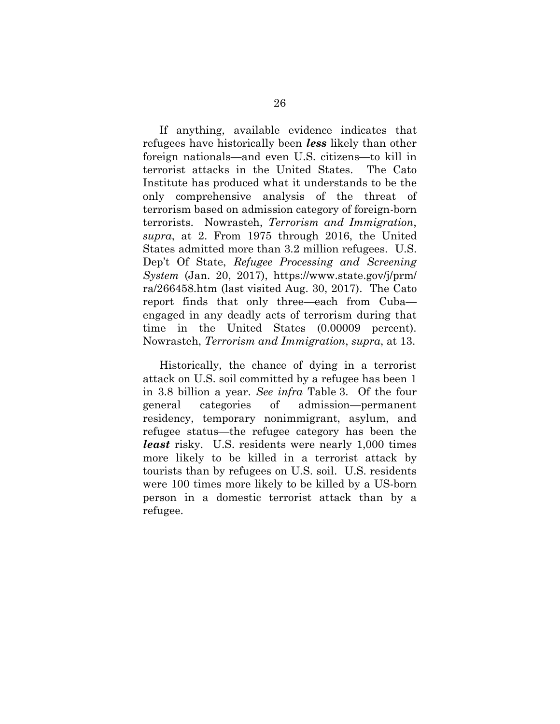If anything, available evidence indicates that refugees have historically been *less* likely than other foreign nationals—and even U.S. citizens—to kill in terrorist attacks in the United States. The Cato Institute has produced what it understands to be the only comprehensive analysis of the threat of terrorism based on admission category of foreign-born terrorists. Nowrasteh, *Terrorism and Immigration*, *supra*, at 2. From 1975 through 2016, the United States admitted more than 3.2 million refugees. U.S. Dep't Of State, *Refugee Processing and Screening System* (Jan. [20, 2017\), https://www.state.gov/j/prm/](https://www.state.gov/j/prm/ra/266458.htm) ra/266458.htm (last visited Aug. 30, 2017). The Cato report finds that only three—each from Cuba engaged in any deadly acts of terrorism during that time in the United States (0.00009 percent). Nowrasteh, *Terrorism and Immigration*, *supra*, at 13.

Historically, the chance of dying in a terrorist attack on U.S. soil committed by a refugee has been 1 in 3.8 billion a year. *See infra* Table 3. Of the four general categories of admission—permanent residency, temporary nonimmigrant, asylum, and refugee status—the refugee category has been the *least* risky. U.S. residents were nearly 1,000 times more likely to be killed in a terrorist attack by tourists than by refugees on U.S. soil. U.S. residents were 100 times more likely to be killed by a US-born person in a domestic terrorist attack than by a refugee.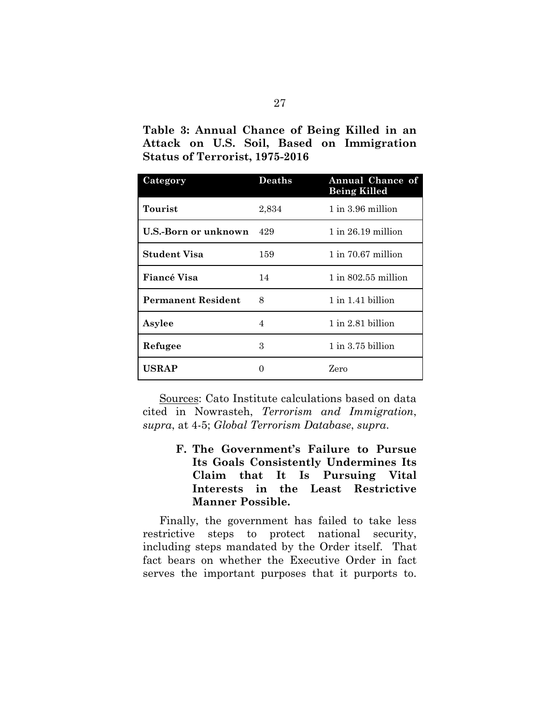**Table 3: Annual Chance of Being Killed in an Attack on U.S. Soil, Based on Immigration Status of Terrorist, 1975-2016**

| Category                  | <b>Deaths</b> | Annual Chance of<br><b>Being Killed</b> |
|---------------------------|---------------|-----------------------------------------|
| Tourist                   | 2,834         | $1$ in 3.96 million                     |
| U.S.-Born or unknown      | 429           | $1$ in 26.19 million                    |
| <b>Student Visa</b>       | 159           | $1$ in $70.67$ million                  |
| Fiancé Visa               | 14            | $1$ in 802.55 million                   |
| <b>Permanent Resident</b> | 8             | $1$ in $1.41$ billion                   |
| Asylee                    | 4             | $1$ in $2.81$ billion                   |
| Refugee                   | 3             | $1$ in $3.75$ billion                   |
| USRAP                     | $\theta$      | Zero                                    |

Sources: Cato Institute calculations based on data cited in Nowrasteh, *Terrorism and Immigration*, *supra*, at 4-5; *Global Terrorism Database*, *supra*.

> **F. The Government's Failure to Pursue Its Goals Consistently Undermines Its Claim that It Is Pursuing Vital Interests in the Least Restrictive Manner Possible.**

Finally, the government has failed to take less restrictive steps to protect national security, including steps mandated by the Order itself. That fact bears on whether the Executive Order in fact serves the important purposes that it purports to.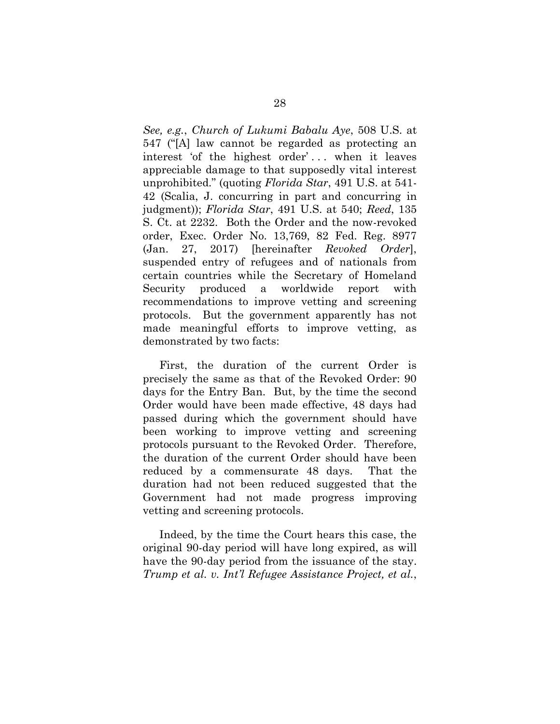*See, e.g.*, *Church of Lukumi Babalu Aye*, 508 U.S. at 547 ("[A] law cannot be regarded as protecting an interest 'of the highest order' . . . when it leaves appreciable damage to that supposedly vital interest unprohibited." (quoting *Florida Star*, 491 U.S. at 541- 42 (Scalia, J. concurring in part and concurring in judgment)); *Florida Star*, 491 U.S. at 540; *Reed*, 135 S. Ct. at 2232. Both the Order and the now-revoked order, Exec. Order No. 13,769, 82 Fed. Reg. 8977 (Jan. 27, 2017) [hereinafter *Revoked Order*], suspended entry of refugees and of nationals from certain countries while the Secretary of Homeland Security produced a worldwide report with recommendations to improve vetting and screening protocols. But the government apparently has not made meaningful efforts to improve vetting, as demonstrated by two facts:

First, the duration of the current Order is precisely the same as that of the Revoked Order: 90 days for the Entry Ban. But, by the time the second Order would have been made effective, 48 days had passed during which the government should have been working to improve vetting and screening protocols pursuant to the Revoked Order. Therefore, the duration of the current Order should have been reduced by a commensurate 48 days. That the duration had not been reduced suggested that the Government had not made progress improving vetting and screening protocols.

Indeed, by the time the Court hears this case, the original 90-day period will have long expired, as will have the 90-day period from the issuance of the stay. *Trump et al. v. Int'l Refugee Assistance Project, et al.*,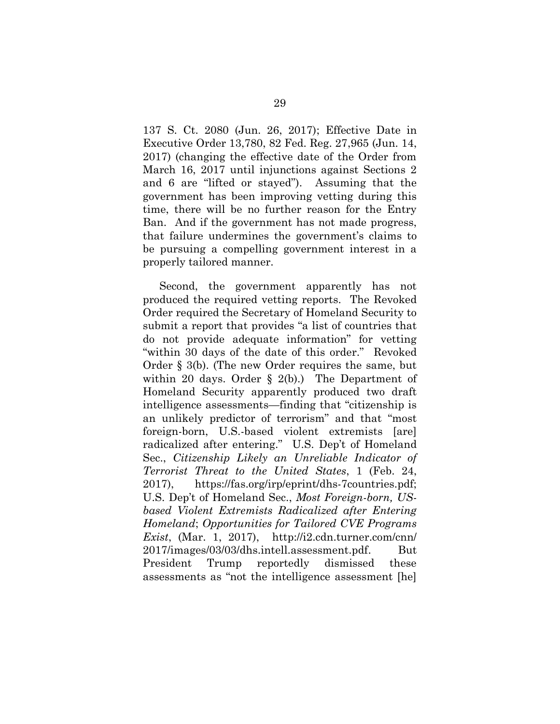137 S. Ct. 2080 (Jun. 26, 2017); Effective Date in Executive Order 13,780, 82 Fed. Reg. 27,965 (Jun. 14, 2017) (changing the effective date of the Order from March 16, 2017 until injunctions against Sections 2 and 6 are "lifted or stayed"). Assuming that the government has been improving vetting during this time, there will be no further reason for the Entry Ban. And if the government has not made progress, that failure undermines the government's claims to be pursuing a compelling government interest in a properly tailored manner.

Second, the government apparently has not produced the required vetting reports. The Revoked Order required the Secretary of Homeland Security to submit a report that provides "a list of countries that do not provide adequate information" for vetting "within 30 days of the date of this order." Revoked Order § 3(b). (The new Order requires the same, but within 20 days. Order § 2(b).) The Department of Homeland Security apparently produced two draft intelligence assessments—finding that "citizenship is an unlikely predictor of terrorism" and that "most foreign-born, U.S.-based violent extremists [are] radicalized after entering." U.S. Dep't of Homeland Sec., *Citizenship Likely an Unreliable Indicator of Terrorist Threat to the United States*, 1 (Feb. 24, 2017), https://fas.org/irp/eprint/dhs-7countries.pdf; U.S. Dep't of Homeland Sec., *Most Foreign-born, USbased Violent Extremists Radicalized after Entering Homeland*; *Opportunities for Tailored CVE Programs Exist*, (Mar. 1, 2017), http://i2.cdn.turner.com/cnn/ [2017/images/03/03/dhs.intell.assessment.pdf. But](http://i2.cdn.turner.com/cnn/2017/images/03/03/dhs.intell.assessment.pdf) President Trump reportedly dismissed these assessments as "not the intelligence assessment [he]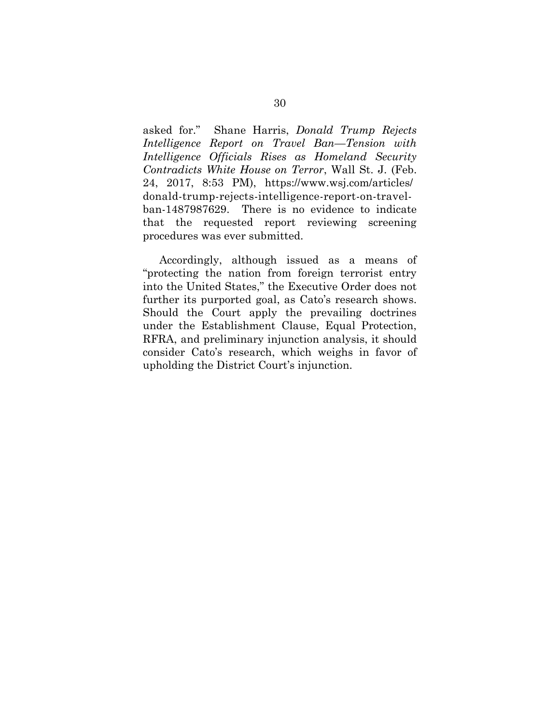asked for." Shane Harris, *Donald Trump Rejects Intelligence Report on Travel Ban—Tension with Intelligence Officials Rises as Homeland Security Contradicts White House on Terror*, Wall St. J. (Feb. 24, 2017, 8:53 PM), https://www.wsj.com/articles/ donald-trump-rejects-intelligence-report-on-travel[ban-1487987629. There is no evidence to indicate](https://www.wsj.com/articles/donald-trump-rejects-intelligence-report-on-travel-ban-1487987629) that the requested report reviewing screening procedures was ever submitted.

Accordingly, although issued as a means of "protecting the nation from foreign terrorist entry into the United States," the Executive Order does not further its purported goal, as Cato's research shows. Should the Court apply the prevailing doctrines under the Establishment Clause, Equal Protection, RFRA, and preliminary injunction analysis, it should consider Cato's research, which weighs in favor of upholding the District Court's injunction.